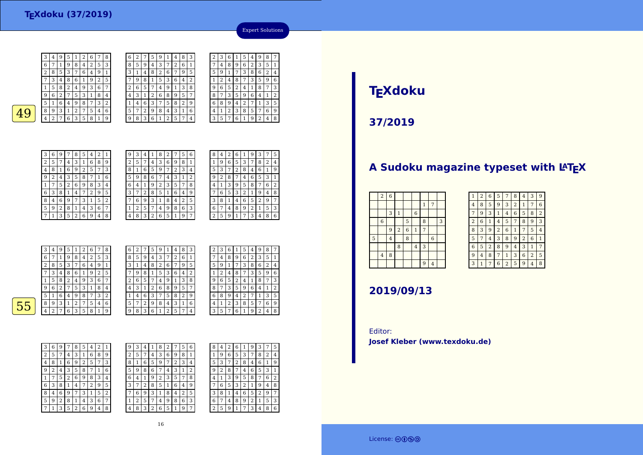3 $\frac{3}{4}$ 

6



<sup>9</sup> <sup>5</sup> <sup>1</sup> <sup>2</sup> <sup>6</sup> <sup>7</sup> <sup>8</sup>

| 6 | 2 |   | 5 | g |   | 4 | 8              | 3 | 2 | 3 |  |
|---|---|---|---|---|---|---|----------------|---|---|---|--|
| 8 | 5 | 9 | 4 | 3 | 7 | 2 | 6              | 1 | 7 | 4 |  |
| 3 | 1 | 4 | 8 | 2 | 6 | 7 | 9              | 5 | 5 | 9 |  |
| 7 | g | 8 | 1 | 5 | 3 | 6 | 4              | 2 | 1 | 2 |  |
| 2 | 6 | 5 | 7 | 4 | 9 | 1 | 3              | 8 | 9 | 6 |  |
| 4 | 3 | 1 | 2 | 6 | 8 | 9 | 5              | 7 | 8 | 7 |  |
| 1 | 4 | 6 | 3 | 7 | 5 | 8 | $\overline{2}$ | 9 | 6 | 8 |  |
| 5 | 7 | 2 | 9 | 8 | 4 | 3 | 1              | 6 | 4 | 1 |  |
| 9 | 8 | 3 | 6 |   | 2 | 5 | 7              | 4 | 3 | 5 |  |
|   |   |   |   |   |   |   |                |   |   |   |  |



| 1 | 4 | 8 | 3 | 2 | 3 | 6 |   | 5 | 4 | 9 | 8 | 7 |
|---|---|---|---|---|---|---|---|---|---|---|---|---|
| 7 | 2 | 6 | 1 |   | 4 | 8 | 9 | 6 | 2 | 3 | 5 | 1 |
| 6 | 7 | 9 | 5 | 5 | 9 | 1 | 7 | 3 | 8 | 6 | 2 | 4 |
| 3 | 6 | 4 | 2 | 1 | 2 | 4 | 8 | 7 | 3 | 5 | 9 | 6 |
| 9 |   | 3 | 8 | 9 | 6 | 5 | 2 | 4 | 1 | 8 | 7 | 3 |
| 8 | 9 | 5 | 7 | 8 | 7 | 3 | 5 | 9 | 6 | 4 | 1 | 2 |
| 5 | 8 | 2 | 9 | 6 | 8 | 9 | 4 | 2 |   | 1 | 3 | 5 |
| 4 | 3 | 1 | 6 | 4 | 1 | 2 | 3 | 8 | 5 | 7 | 6 | 9 |
| 2 | 5 | 7 | 4 | 3 | 5 | 7 | 6 | 1 | 9 | 2 | 4 | 8 |
|   |   |   |   |   |   |   |   |   |   |   |   |   |

| 3              | 6 | 9 | 7              | 8 | 5                       | 4 | $\overline{2}$ | 1 |  |
|----------------|---|---|----------------|---|-------------------------|---|----------------|---|--|
| $\overline{c}$ | 5 | 7 | 4              | 3 | 1                       | 6 | 8              | 9 |  |
| 4              | 8 | 1 | 6              | 9 | $\overline{\mathbf{c}}$ | 5 | 7              | 3 |  |
| 9              | 2 | 4 | 3              | 5 | 8                       |   | 1              | 6 |  |
| 1              |   | 5 | $\overline{2}$ | 6 | 9                       | 8 | 3              | 4 |  |
| 6              | 3 | 8 | 1              | 4 | 7                       | 2 | 9              | 5 |  |
| 8              | 4 | 6 | 9              | 7 | 3                       | 1 | 5              | 2 |  |
| 5              | 9 | 2 | 8              | 1 | 4                       | 3 | 6              | 7 |  |
| 7              | 1 | 3 | 5              | 2 | 6                       | 9 | 4              | 8 |  |

| 9 | З                       | 4 | 1 | 8 | 2 | 7 | 5 | 6 |
|---|-------------------------|---|---|---|---|---|---|---|
| 2 | 5                       | 7 | 4 | 3 | 6 | 9 | 8 | 1 |
| 8 | 1                       | 6 | 5 | 9 | 7 | 2 | 3 | 4 |
| 5 | 9                       | 8 | 6 | 7 | 4 | 3 | 1 | 2 |
| 6 | $\overline{\mathbf{4}}$ | 1 | 9 | 2 | 3 | 5 | 7 | 8 |
| 3 |                         | 2 | 8 | 5 | 1 | 6 | 4 | 9 |
|   | 6                       | 9 | 3 | 1 | 8 | 4 | 2 | 5 |
| 1 | 2                       | 5 | 7 | 4 | 9 | 8 | 6 | 3 |
| 4 | 8                       | 3 | 2 | 6 | 5 | 1 | 9 | 7 |

| 8              | 4 | 2 | 6              | 1 | 9 | 3 |   | 5 |
|----------------|---|---|----------------|---|---|---|---|---|
| 1              | 9 | 6 | 5              | 3 | 7 | 8 | 2 | 4 |
| 5              | 3 | 7 | $\overline{c}$ | 8 | 4 | 6 | 1 | 9 |
| g              | 2 | 8 |                | 4 | 6 | 5 | 3 | 1 |
| 4              | 1 | 3 | 9              | 5 | 8 | 7 | 6 | 2 |
|                | 6 | 5 | 3              | 2 | 1 | 9 | 4 | 8 |
| 3              | 8 | 1 | 4              | 6 | 5 | 2 | 9 | 7 |
| 6              | 7 | 4 | 8              | 9 | 2 | 1 | 5 | 3 |
| $\overline{2}$ | 5 | 9 | 1              | 7 | 3 | 4 | 8 | 6 |

Expert Solutions

|   | 3              | 4 | 9              | 5              | 1              | 2 | 6              | 7 | 8              | 6              | 2 | 7              | 5      | 9 |   | 4 | 8             | 3 | ٠<br>4     |
|---|----------------|---|----------------|----------------|----------------|---|----------------|---|----------------|----------------|---|----------------|--------|---|---|---|---------------|---|------------|
|   | 6              | 7 | 1              | 9              | 8              | 4 | $\overline{2}$ | 5 | 3              | 8              | 5 | 9              | 4      | 3 | ¬ | 2 | 6             |   | ٠          |
|   | $\overline{2}$ | 8 | 5              | 3              | 7              | 6 | $\overline{4}$ | 9 | 1              | 3              | 1 | 4              | 8      | 2 | 6 | 7 | 9             | 5 | Р<br>×.    |
|   | 7              | 3 | $\overline{4}$ | 8              | 6              |   | 9              | 2 | 5              | 7              | 9 | 8              | 1      | 5 | 3 | 6 | 4             | 2 |            |
|   | 1              | 5 | 8              | 2              | $\overline{4}$ | 9 | 3              | 6 | 7              | $\overline{2}$ | 6 | 5              | 7      | 4 | 9 |   | 3             | 8 |            |
|   | 9              | 6 | $\overline{2}$ | 7              | 5              | 3 | 1              | 8 | 4              | 4              | 3 | 1              | ി<br>∠ | 6 | 8 | 9 | 5             | 7 |            |
|   | 5              |   | 6              | $\overline{4}$ | 9              | 8 | 7              | 3 | $\overline{2}$ |                | 4 | 6              | 3      | 7 | 5 | 8 | 2             | 9 |            |
| 5 | 8              | 9 | 3              |                | $\overline{2}$ | 7 | 5              | 4 | 6              | 5              | 7 | $\overline{2}$ | 9      | 8 | 4 | 3 | 1             | 6 | $\epsilon$ |
|   | $\overline{4}$ | ∍ | 7              | 6              | 3              | 5 | 8              | 1 | 9              | 9              | 8 | 3              | 6      | 1 | ി | 5 | $\mathcal{L}$ | 4 | ٠          |
|   |                |   |                |                |                |   |                |   |                |                |   |                |        |   |   |   |               |   |            |

| 2 | З | 6 | 1 | 5              | 4 | 9 | 8            | 7 |
|---|---|---|---|----------------|---|---|--------------|---|
|   | 4 | 8 | 9 | 6              | 2 | 3 | 5            | 1 |
| 5 | 9 | 1 | 7 | 3              | 8 | 6 | 2            | 4 |
| 1 | 2 | 4 | 8 | 7              | 3 | 5 | 9            | 6 |
| 9 | 6 | 5 | 2 | 4              | 1 | 8 | 7            | 3 |
| 8 | 7 | 3 | 5 | 9              | 6 | 4 | $\mathbf{1}$ | 2 |
| 6 | 8 | 9 | 4 | $\overline{2}$ | 7 | 1 | 3            | 5 |
| 4 | 1 | 2 | 3 | 8              | 5 | 7 | 6            | 9 |
| 3 | 5 | 7 | 6 | 1              | 9 | 2 | 4            | 8 |



| 3 | 6 | 9 | 7 | 8 | 5 | 4              | 2 | 1 |
|---|---|---|---|---|---|----------------|---|---|
| 2 | 5 | 7 | 4 | 3 | 1 | 6              | 8 | 9 |
| 4 | 8 | 1 | 6 | 9 | 2 | 5              | 7 | 3 |
| 9 | 2 | 4 | 3 | 5 | 8 | 7              | 1 | 6 |
| 1 | 7 | 5 | 2 | 6 | 9 | 8              | 3 | 4 |
| 6 | 3 | 8 | 1 | 4 | 7 | $\overline{c}$ | 9 | 5 |
| 8 | 4 | 6 | 9 | 7 | 3 | 1              | 5 | 2 |
| 5 | 9 | 2 | 8 | 1 | 4 | 3              | 6 | 7 |
|   | 1 | 3 | 5 | 2 | 6 | 9              | 4 | 8 |

| 3 | 4 |   | 8 |   |        | 5 | 6 | 8                  | 4 |   | 6      |                | 9 | 3              |   | 5 |
|---|---|---|---|---|--------|---|---|--------------------|---|---|--------|----------------|---|----------------|---|---|
| 5 | 7 | 4 | 3 | 6 | 9      | 8 | 1 |                    | 9 | 6 | 5      | 3              | 7 | 8              | 2 | 4 |
| 1 | 6 | 5 | 9 | 7 | ി<br>∠ | 3 | 4 | 5                  | 3 |   | n<br>∠ | 8              | 4 | 6              | 1 | 9 |
| 9 | 8 | 6 | 7 | 4 | 3      |   | 2 | 9                  | ∍ | 8 |        | 4              | 6 | 5              | 3 | 1 |
| 4 | 1 | 9 | 2 | 3 | 5      | 7 | 8 | 4                  |   | 3 | 9      | 5              | 8 | 7              | 6 | 2 |
| 7 | 2 | 8 | 5 | 1 | 6      | 4 | 9 | 7                  | 6 | 5 | 3      | $\overline{2}$ | 1 | 9              | 4 | 8 |
| 6 | 9 | 3 | 1 | 8 | 4      | 2 | 5 | 3                  | 8 |   | 4      | 6              | 5 | 2              | 9 | 7 |
| 2 | 5 | 7 | 4 | 9 | 8      | 6 | 3 | 6                  | ⇁ | 4 | 8      | 9              | 2 | 1              | 5 | 3 |
| 8 | 3 | 2 | 6 | 5 | 1      | 9 | 7 | $\mathcal{D}$<br>4 | 5 | 9 |        | 7              | 3 | $\overline{4}$ | 8 | 6 |
|   |   |   |   |   |        |   |   |                    |   |   |        |                |   |                |   |   |

# **TEXdoku**

**37/2019**

## A Sudoku magazine typeset with LAT<sub>E</sub>X

|   | $\,2$          | $\,$ 6 $\,$    |                |                |                |              |                |   |
|---|----------------|----------------|----------------|----------------|----------------|--------------|----------------|---|
|   |                |                |                |                |                | $\mathbf{1}$ | 7              |   |
|   |                | 3              | $\mathbf{1}$   |                | $\,$ 6 $\,$    |              |                |   |
|   | $\,$ 6 $\,$    |                |                | 5              |                | 8            |                | 3 |
|   |                | 9              | $\overline{c}$ | $\overline{6}$ | $\mathbf{1}$   | 7            |                |   |
| 5 |                | $\overline{4}$ |                | 8              |                |              | $\,$ 6 $\,$    |   |
|   |                |                | 8              |                | $\overline{4}$ | 3            |                |   |
|   | $\overline{4}$ | 8              |                |                |                |              |                |   |
|   |                |                |                |                |                | 9            | $\overline{4}$ |   |

| 1              | $\overline{2}$ | 6              | 5              | 7              | 8              | 4              | 3              | 9              |
|----------------|----------------|----------------|----------------|----------------|----------------|----------------|----------------|----------------|
| 4              | 8              | 5              | 9              | 3              | $\overline{2}$ | 1              | 7              | 6              |
| 7              | 9              | 3              | 1              | 4              | 6              | 5              | 8              | $\overline{2}$ |
| $\overline{2}$ | 6              | 1              | 4              | 5              | 7              | 8              | 9              | 3              |
| 8              | 3              | 9              | $\overline{2}$ | 6              | 1              | 7              | 5              | 4              |
| 5              | 7              | 4              | 3              | 8              | 9              | $\overline{2}$ | 6              | 1              |
| 6              | 5              | $\overline{2}$ | 8              | 9              | 4              | 3              | 1              | 7              |
| 9              | $\overline{4}$ | 8              | 7              | $\mathbf{1}$   | 3              | 6              | $\overline{2}$ | 5              |
| 3              | 1              |                | 6              | $\overline{2}$ | 5              | 9              | 4              | 8              |

### **2019/09/13**

Editor:**Josef Kleber (www.texdoku.de)**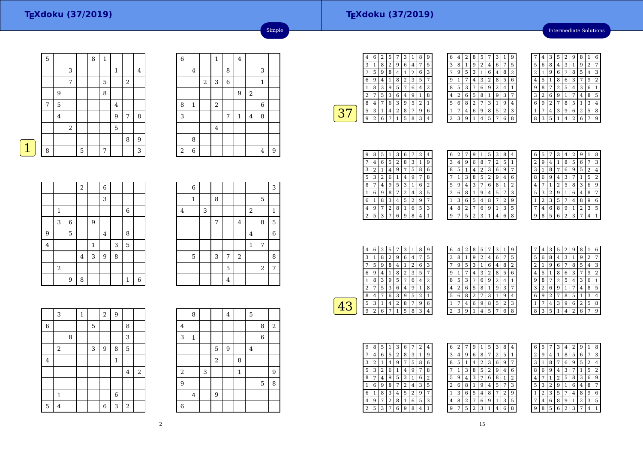Intermediate Solutions

|             | $\overline{5}$ |   |                  |   | 8 | $\mathbf{1}$ |                |                |   |
|-------------|----------------|---|------------------|---|---|--------------|----------------|----------------|---|
|             |                |   |                  |   |   |              |                |                |   |
|             |                |   | 3                |   |   |              | $\mathbf{1}$   |                | 4 |
|             |                |   | 7                |   |   | $\mathbf 5$  |                | $\overline{2}$ |   |
|             |                | 9 |                  |   |   | 8            |                |                |   |
|             | 7              | 5 |                  |   |   |              | $\overline{4}$ |                |   |
|             |                | 4 |                  |   |   |              | 9              | 7              | 8 |
|             |                |   | $\boldsymbol{2}$ |   |   |              | 5              |                |   |
|             |                |   |                  |   |   |              |                | 8              | 9 |
| $\mathbf 1$ | 8              |   |                  | 5 |   | 7            |                |                | 3 |
|             |                |   |                  |   |   |              |                |                |   |

| $\overline{6}$<br>$\mathbf{1}$<br>$\overline{\mathbf{4}}$<br>8<br>3<br>$\bf 4$<br>$\,2$<br>3<br>6<br>$\mathbf{1}$<br>$\overline{2}$<br>$\boldsymbol{9}$<br>$\,2$<br>$\,$ 6 $\,$<br>8<br>$\mathbf{1}$<br>3<br>8<br>7<br>$\mathbf{1}$<br>$\bf 4$<br>$\overline{4}$<br>8 |  |  |  |  |   |
|-----------------------------------------------------------------------------------------------------------------------------------------------------------------------------------------------------------------------------------------------------------------------|--|--|--|--|---|
|                                                                                                                                                                                                                                                                       |  |  |  |  |   |
|                                                                                                                                                                                                                                                                       |  |  |  |  |   |
|                                                                                                                                                                                                                                                                       |  |  |  |  |   |
|                                                                                                                                                                                                                                                                       |  |  |  |  |   |
|                                                                                                                                                                                                                                                                       |  |  |  |  |   |
|                                                                                                                                                                                                                                                                       |  |  |  |  |   |
|                                                                                                                                                                                                                                                                       |  |  |  |  |   |
|                                                                                                                                                                                                                                                                       |  |  |  |  |   |
| $\sqrt{2}$<br>6<br>$\overline{4}$                                                                                                                                                                                                                                     |  |  |  |  | 9 |

Simple

| <b>Contract Contract Contract Contract Contract Contract Contract Contract Contract Contract Contract Contract Co</b> |  |
|-----------------------------------------------------------------------------------------------------------------------|--|
|                                                                                                                       |  |

|                         |              |   | $\overline{a}$          |              | $\overline{6}$ |   |              |                |
|-------------------------|--------------|---|-------------------------|--------------|----------------|---|--------------|----------------|
|                         |              |   |                         |              | 3              |   |              |                |
|                         | $\mathbf{1}$ |   |                         |              |                |   | 6            |                |
|                         | 3            | 6 |                         | 9            |                |   |              |                |
| 9                       |              | 5 |                         |              | $\overline{4}$ |   | 8            |                |
| $\overline{\mathbf{4}}$ |              |   |                         | $\mathbf{1}$ |                | 3 | 5            |                |
|                         |              |   | $\overline{\mathbf{4}}$ | 3            | 9              | 8 |              |                |
|                         | $\,2$        |   |                         |              |                |   |              |                |
|                         |              | 9 | 8                       |              |                |   | $\mathbf{1}$ | $\overline{6}$ |

|         | 6            |   |   |                |                |             |                | 3              |
|---------|--------------|---|---|----------------|----------------|-------------|----------------|----------------|
|         | $\mathbf{1}$ |   | 8 |                |                |             | $\mathbf 5$    |                |
| $\bf 4$ |              | 3 |   |                |                | $\sqrt{2}$  |                | 1              |
|         |              |   | 7 |                | $\overline{4}$ |             | $\,$ 8 $\,$    | 5              |
|         |              |   |   |                |                | $\bf 4$     |                | 6              |
|         |              |   |   |                |                | $\mathbf 1$ | 7              |                |
|         | 5            |   | 3 | 7              | $\,2$          |             |                | 8              |
|         |              |   |   | 5              |                |             | $\overline{2}$ | $\overline{7}$ |
|         |              |   |   | $\overline{4}$ |                |             |                |                |

|                | 3              |   | $\mathbf{1}$ |   | $\overline{a}$ | $\overline{9}$ |       |       |
|----------------|----------------|---|--------------|---|----------------|----------------|-------|-------|
| $\overline{6}$ |                |   |              | 5 |                |                | 8     |       |
|                |                | 8 |              |   |                |                | 3     |       |
|                | $\,2$          |   |              | 3 | 9              | 8              | 5     |       |
| $\bf 4$        |                |   |              |   |                | $\mathbf 1$    |       |       |
|                |                |   |              |   |                |                | 4     | $\,2$ |
|                |                |   |              |   |                |                |       |       |
|                | $\mathbf{1}$   |   |              |   |                | $\overline{6}$ |       |       |
| $\mathbf 5$    | $\overline{4}$ |   |              |   | 6              | 3              | $\,2$ |       |

|                | 8            |   |            | 4 |              | 5              |                |       |
|----------------|--------------|---|------------|---|--------------|----------------|----------------|-------|
| $\bf 4$        |              |   |            |   |              |                | 8              | $\,2$ |
| 3              | $\mathbf{1}$ |   |            |   |              |                | $\overline{6}$ |       |
|                |              |   | 5          | 9 |              | $\overline{4}$ |                |       |
|                |              |   | $\sqrt{2}$ |   | 8            |                |                |       |
| $\,2$          |              | 3 |            |   | $\mathbf{1}$ |                |                | 9     |
| 9              |              |   |            |   |              |                | 5              | 8     |
|                | 4            |   | 9          |   |              |                |                |       |
| $\overline{6}$ |              |   |            |   |              |                |                |       |

| 4 | 6 | 2 | 5 | 7 | 3 |   | 8 | g |
|---|---|---|---|---|---|---|---|---|
| 3 | 1 | 8 | 2 | 9 | 6 | 4 | 7 | 5 |
|   | 5 | 9 | 8 | 4 | 1 | 2 | 6 | 3 |
| 6 | 9 | 4 |   | 8 | 2 | 3 | 5 | 7 |
| 1 | 8 | 3 | 9 | 5 | 7 | 6 | 4 | 2 |
| 2 | 7 | 5 | 3 | 6 | 4 | 9 | 1 | 8 |
| 8 | 4 |   | 6 | 3 | 9 | 5 | 2 | 1 |
| 5 | 3 | 1 | 4 | 2 | 8 | 7 | 9 | 6 |
| q | 2 | 6 | 7 | 1 | 5 | 8 | 3 | 4 |
|   |   |   |   |   |   |   |   |   |

| 6              | 4 | 2 | 8 | 5              | 7 | 3 | $1\,$ | 9 |  |
|----------------|---|---|---|----------------|---|---|-------|---|--|
| 3              | 8 | 1 | 9 | $\overline{2}$ | 4 | 6 | 7     | 5 |  |
|                | 9 | 5 | 3 | 1              | 6 | 4 | 8     | 2 |  |
| 9              | 1 |   | 4 | 3              | 2 | 8 | 5     | 6 |  |
| 8              | 5 | 3 | 7 | 6              | 9 | 2 | 4     | 1 |  |
| 4              | 2 | 6 | 5 | 8              | 1 | 9 | 3     | 7 |  |
| 5              | 6 | 8 | 2 | 7              | 3 | 1 | 9     | 4 |  |
| 1              | 7 | 4 | 6 | 9              | 8 | 5 | 2     | 3 |  |
| $\overline{c}$ | 3 | 9 | 1 | 4              | 5 |   | 6     | 8 |  |

|   | 4 | З | 5              | 2 | 9              | 8 | 1              | 6 |
|---|---|---|----------------|---|----------------|---|----------------|---|
| 5 | 6 | 8 | 4              | 3 | 1              | 9 | $\overline{2}$ | 7 |
| 2 | 1 | 9 | 6              | 7 | 8              | 5 | 4              | 3 |
| 4 | 5 |   | 8              | 6 | 3              |   | 9              | 2 |
| 9 | 8 | 7 | $\overline{2}$ | 5 | 4              | 3 | 6              | 1 |
| 3 | 2 | 6 | 9              | 1 | 7              | 4 | 8              | 5 |
| 6 | 9 | 2 | 7              | 8 | 5              | 1 | 3              | 4 |
| 1 |   | 4 | 3              | 9 | 6              | 2 | 5              | 8 |
| 8 | 3 | 5 |                | 4 | $\overline{2}$ | 6 | 7              | g |

| 9 | 8 | 5 | 1 | З | 6 |   | 2 | 4 |
|---|---|---|---|---|---|---|---|---|
| 7 | 4 | 6 | 5 | 2 | 8 | 3 | 1 | 9 |
| 3 | 2 | 1 | 4 | 9 | 7 | 5 | 8 | 6 |
| 5 | 3 | 2 | 6 | 1 | 4 | 9 | 7 | 8 |
| 8 | 7 | 4 | 9 | 5 | 3 | 1 | 6 | 2 |
| 1 | 6 | 9 | 8 | 7 | 2 | 4 | 3 | 5 |
| 6 | 1 | 8 | 3 | 4 | 5 | 2 | 9 | 7 |
| 4 | 9 | 7 | 2 | 8 | 1 | 6 | 5 | 3 |
| 2 | 5 | 3 | 7 | 6 | 9 | 8 | 4 |   |

| 6 | 2 | 7 | 9 | 1                       | 5 | 3 | 8 | 4              |
|---|---|---|---|-------------------------|---|---|---|----------------|
| 3 | 4 | 9 | 6 | 8                       |   | 2 | 5 | $\overline{1}$ |
| 8 | 5 | 1 | 4 | $\overline{\mathbf{c}}$ | 3 | 6 | 9 | 7              |
| 7 | 1 | 3 | 8 | 5                       | 2 | 9 | 4 | 6              |
| 5 | 9 | 4 | 3 | 7                       | 6 | 8 | 1 | 2              |
| 2 | 6 | 8 | 1 | 9                       | 4 | 5 | 7 | 3              |
| 1 | 3 | 6 | 5 | 4                       | 8 | 7 | 2 | g              |
| 4 | 8 | 2 | 7 | 6                       | 9 | 1 | 3 | 5              |
| 9 | 7 | 5 | 2 | 3                       | 1 | 4 | 6 | 8              |
|   |   |   |   |                         |   |   |   |                |

| 6 | 5 |   | 3 | 4 | 2 | 9              | 1              | 8 |
|---|---|---|---|---|---|----------------|----------------|---|
| 2 | 9 | 4 | 1 | 8 | 5 | 6              | 7              | 3 |
| 3 | 1 | 8 | 7 | 6 | 9 | 5              | $\overline{c}$ | 4 |
| 8 | 6 | 9 | 4 | 3 | 7 | 1              | 5              | 2 |
| 4 | 7 | 1 | 2 | 5 | 8 | 3              | 6              | 9 |
| 5 | 3 | 2 | 9 | 1 | 6 | 4              | 8              | 7 |
| 1 | 2 | 3 | 5 | 7 | 4 | 8              | 9              | 6 |
| 7 | 4 | 6 | 8 | 9 | 1 | $\overline{2}$ | 3              | 5 |
| q | 8 | 5 | 6 | 2 | 3 | 7              | 4              | 1 |

| 4 | 6 | 2 | 5 | 7 | 3 | 1 | 8              | 9 |  |
|---|---|---|---|---|---|---|----------------|---|--|
| 3 | 1 | 8 | 2 | 9 | 6 | 4 | 7              | 5 |  |
|   | 5 | 9 | 8 | 4 | 1 | 2 | 6              | 3 |  |
| 6 | 9 | 4 | 1 | 8 | 2 | 3 | 5              | 7 |  |
|   | 8 | 3 | 9 | 5 | 7 | 6 | 4              | 2 |  |
| 2 |   | 5 | 3 | 6 | 4 | 9 | 1              | 8 |  |
| 8 | 4 |   | 6 | 3 | 9 | 5 | $\overline{2}$ | 1 |  |
| 5 | 3 | 1 | 4 | 2 | 8 | 7 | 9              | 6 |  |
| 9 | 2 | 6 |   | 1 | 5 | 8 | 3              | 4 |  |

| 6 | 4 | 2 I | 8 | 5 | 7 | З | 1 | 9 |  |
|---|---|-----|---|---|---|---|---|---|--|
| 3 | 8 | 1   | 9 | 2 | 4 | 6 | 7 | 5 |  |
| 7 | 9 | 5   | 3 | 1 | 6 | 4 | 8 | 2 |  |
| 9 | 1 |     | 4 | 3 | 2 | 8 | 5 | 6 |  |
| 8 | 5 | 3   | 7 | 6 | 9 | 2 | 4 | 1 |  |
| 4 | 2 | 6   | 5 | 8 | 1 | 9 | 3 | 7 |  |
| 5 | 6 | 8   | 2 | 7 | 3 | 1 | 9 | 4 |  |
| 1 | 7 | 4   | 6 | 9 | 8 | 5 | 2 | 3 |  |
| 2 | 3 | 9   | 1 | 4 | 5 | 7 | 6 | 8 |  |

|   | 4 | 3              | 5              | 2 | 9              | 8 | 1              | 6 |
|---|---|----------------|----------------|---|----------------|---|----------------|---|
| 5 | 6 | 8              | 4              | 3 | 1              | 9 | $\overline{2}$ |   |
| 2 | 1 | 9              | 6              | 7 | 8              | 5 | 4              | 3 |
| 4 | 5 | 1              | 8              | 6 | 3              | 7 | 9              | 2 |
| 9 | 8 | 7              | $\overline{2}$ | 5 | 4              | 3 | 6              | 1 |
| 3 | 2 | 6              | 9              | 1 | 7              | 4 | 8              | 5 |
| 6 | 9 | $\overline{2}$ | 7              | 8 | 5              | 1 | 3              | 4 |
| 1 | 7 | 4              | 3              | 9 | 6              | 2 | 5              | 8 |
| 8 | 3 | 5              | 1              | 4 | $\overline{2}$ | 6 |                | 9 |

| g              | 8 | 5 | l | 3              | 6 |   | 2 | 4              |
|----------------|---|---|---|----------------|---|---|---|----------------|
|                | 4 | 6 | 5 | $\overline{2}$ | 8 | 3 | 1 | 9              |
| 3              | 2 | 1 | 4 | 9              | 7 | 5 | 8 | 6              |
| 5              | 3 | 2 | 6 | 1              | 4 | 9 | 7 | 8              |
| 8              | 7 | 4 | 9 | 5              | 3 | 1 | 6 | $\overline{2}$ |
| 1              | 6 | 9 | 8 | 7              | 2 | 4 | 3 | 5              |
| 6              |   | 8 | 3 | 4              | 5 | 2 | 9 | 7              |
| 4              | 9 | 7 | 2 | 8              | 1 | 6 | 5 | 3              |
| $\overline{c}$ | 5 | 3 | 7 | 6              | 9 | 8 | 4 | 1              |

| 6 | $\overline{2}$ | 7 | 9              | 1 | 5 | 3              | 8              | 4 |
|---|----------------|---|----------------|---|---|----------------|----------------|---|
| 3 | 4              | 9 | 6              | 8 | 7 | $\overline{2}$ | 5              | 1 |
| 8 | 5              | 1 | 4              | 2 | 3 | 6              | 9              |   |
|   | 1              | 3 | 8              | 5 | 2 | 9              | 4              | 6 |
| 5 | 9              | 4 | 3              | 7 | 6 | 8              | 1              | 2 |
| 2 | 6              | 8 | 1              | 9 | 4 | 5              | 7              | 3 |
| 1 | 3              | 6 | 5              | 4 | 8 | 7              | $\overline{2}$ | 9 |
| 4 | 8              | 2 | 7              | 6 | 9 | 1              | 3              | 5 |
| 9 | 7              | 5 | $\overline{c}$ | 3 | 1 | 4              | 6              | 8 |

| 6              | 5 |   | 3              | 4 | 2 | 9 | 1 | 8 |
|----------------|---|---|----------------|---|---|---|---|---|
| $\overline{c}$ | 9 | 4 | 1              | 8 | 5 | 6 | 7 | 3 |
| 3              | 1 | 8 | 7              | 6 | 9 | 5 | 2 | 4 |
| 8              | 6 | 9 | 4              | 3 | 7 | 1 | 5 | 2 |
| 4              | 7 | 1 | $\overline{2}$ | 5 | 8 | 3 | 6 | 9 |
| 5              | 3 | 2 | 9              | 1 | 6 | 4 | 8 | 7 |
| 1              | 2 | 3 | 5              | 7 | 4 | 8 | 9 | 6 |
| 7              | 4 | 6 | 8              | 9 | 1 | 2 | 3 | 5 |
| 9              | 8 | 5 | 6              | 2 | 3 | 7 | 4 | 1 |
|                |   |   |                |   |   |   |   |   |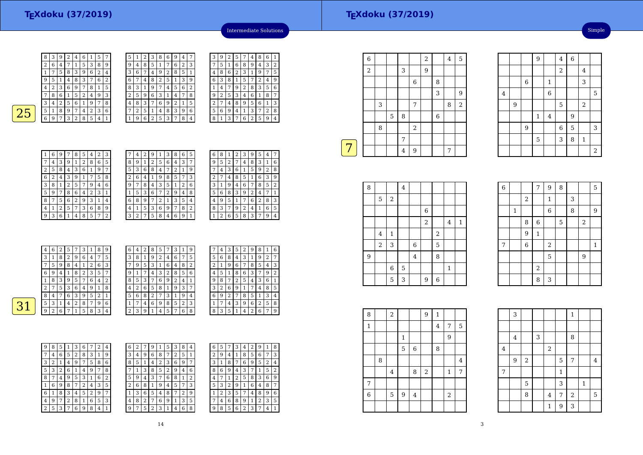| C | 1 | 2 | 3              | 8 | 6 | 9 | 4              |   |
|---|---|---|----------------|---|---|---|----------------|---|
| g | 4 | 8 | 5              | 1 | 7 | 6 | $\overline{2}$ | 3 |
| 3 | 6 | 7 | 4              | 9 | 2 | 8 | 5              | 1 |
| 6 | 7 | 4 | 8              | 2 | 5 | 1 | 3              | 9 |
| 8 | 3 | 1 | 9              | 7 | 4 | 5 | 6              | 2 |
| 2 | 5 | 9 | 6              | 3 | 1 | 4 | 7              | 8 |
| 4 | 8 | 3 | 7              | 6 | 9 | 2 | 1              | 5 |
|   | 2 | 5 | 1              | 4 | 8 | 3 | 9              | 6 |
|   | 9 | 6 | $\overline{c}$ | 5 | 3 | 7 | 8              | 4 |



 $\overline{31}$ 

| 1 | 6              | 9 | 7 | 8            | 5 | 4 | $\overline{2}$ | 3 |  |
|---|----------------|---|---|--------------|---|---|----------------|---|--|
|   | $\overline{4}$ | 3 | 9 | $\mathbf{1}$ | 2 | 8 | 6              | 5 |  |
| 2 | 5              | 8 | 4 | 3            | 6 | 1 | 9              | 7 |  |
| 6 | 2              | 4 | 3 | 9            | 1 | 7 | 5              | 8 |  |
| 3 | 8              | 1 | 2 | 5            | 7 | 9 | 4              | 6 |  |
| 5 | 9              | 7 | 8 | 6            | 4 | 2 | 3              | 1 |  |
| 8 | 7              | 5 | 6 | 2            | 9 | 3 | 1              | 4 |  |
| 4 | 1              | 2 | 5 | 7            | 3 | 6 | 8              | 9 |  |
| 9 | 3              | 6 | 1 | 4            | 8 | 5 |                | 2 |  |

|   | 4 | 2 | 9 | 1 | 3 | 8 | 6                       | 5 |  |
|---|---|---|---|---|---|---|-------------------------|---|--|
| 8 | 9 | 1 | 2 | 5 | 6 | 4 | 3                       | 7 |  |
| 5 | 3 | 6 | 8 | 4 |   | 2 | 1                       | 9 |  |
| 2 | 6 | 4 |   | 9 | 8 | 5 | 7                       | 3 |  |
| 9 | 7 | 8 | 4 | 3 | 5 | 1 | 2                       | 6 |  |
|   | 5 | 3 | 6 | 7 | 2 | 9 | $\overline{\mathbf{4}}$ | 8 |  |
| 6 | 8 | 9 | 7 | 2 | 1 | 3 | 5                       | 4 |  |
| 4 | 1 | 5 | 3 | 6 | 9 | 7 | 8                       | 2 |  |
| 3 | 2 | 7 | 5 | 8 | 4 | 6 | 9                       |   |  |

14

| 6 | 8 | 1 | 2 | 3              | 9 | 5 | $\overline{4}$ |   |
|---|---|---|---|----------------|---|---|----------------|---|
|   | 5 | 2 |   | 4              | 8 | 3 | 1              | 6 |
|   | 4 | 3 | 6 | 1              | 5 | 9 | 2              | 8 |
| 2 |   | 4 | 8 | 5              | 1 | 6 | 3              | 9 |
| 3 | 1 | 9 | 4 | 6              |   | 8 | 5              | 2 |
| 5 | 6 | 8 | 3 | 9              | 2 | 4 |                | 1 |
| 4 | 9 | 5 | 1 | 7              | 6 | 2 | 8              | 3 |
| 8 | 3 | 7 | 9 | $\overline{2}$ | 4 | 1 | 6              | 5 |
|   | 2 | 6 | 5 | 8              | 3 | 7 | 9              | 4 |

Intermediate Solutions

<sup>5</sup> <sup>7</sup> <sup>4</sup> <sup>8</sup> <sup>6</sup> <sup>1</sup>

<sup>5</sup> <sup>7</sup> <sup>2</sup> <sup>4</sup> <sup>9</sup>

<sup>5</sup> <sup>1</sup> <sup>6</sup> <sup>8</sup> <sup>9</sup> <sup>4</sup> <sup>3</sup> <sup>2</sup>

<sup>8</sup> <sup>6</sup> <sup>2</sup> <sup>3</sup> <sup>1</sup> <sup>9</sup> <sup>7</sup> <sup>5</sup>

<sup>4</sup> <sup>7</sup> <sup>9</sup> <sup>2</sup> <sup>8</sup> <sup>3</sup> <sup>5</sup> <sup>6</sup>

<sup>5</sup> <sup>3</sup> <sup>4</sup> <sup>6</sup> <sup>1</sup> <sup>8</sup> <sup>7</sup>

 <sup>7</sup> <sup>4</sup> <sup>8</sup> <sup>9</sup> <sup>5</sup> <sup>6</sup> <sup>1</sup> <sup>3</sup> 5 <sup>6</sup> <sup>9</sup> <sup>4</sup> <sup>1</sup> <sup>3</sup> <sup>7</sup> <sup>2</sup> <sup>8</sup> 8 <sup>1</sup> <sup>3</sup> <sup>7</sup> <sup>6</sup> <sup>2</sup> <sup>5</sup> <sup>9</sup> <sup>4</sup>

3 $\frac{3}{2}$  9 2

7

4

1

 $\frac{9}{2}$ 

 $\sqrt{2}$ 

 $\frac{6}{3}$  8 1

| 4 | 6 | 2 | 5 | 7 | 3 | 1      | 8 | 9 | 6              | 4 | 2 | 8 | 5 | 7 | 3 |   | 9 |
|---|---|---|---|---|---|--------|---|---|----------------|---|---|---|---|---|---|---|---|
| 3 | 1 | 8 | 2 | 9 | 6 | 4      | 7 | 5 | 3              | 8 |   | 9 | 2 | 4 | 6 | 7 | 5 |
| 7 | 5 | 9 | 8 | 4 |   | ר<br>∠ | 6 | 3 | 7              | 9 | 5 | 3 |   | 6 | 4 | 8 | 2 |
| 6 | 9 | 4 |   | 8 | 2 | 3      | 5 | ⇁ | 9              |   |   | 4 | 3 | 2 | 8 | 5 | 6 |
|   | 8 | 3 | 9 | 5 | 7 | 6      | 4 | 2 | 8              | 5 | З | 7 | 6 | 9 | 2 | 4 | 1 |
| ∍ | 7 | 5 | 3 | 6 | 4 | 9      |   | 8 | 4              | 2 | 6 | 5 | 8 |   | 9 | 3 | 7 |
| 8 | 4 |   | 6 | 3 | 9 | 5      | 2 |   | 5              | 6 | 8 | 2 |   | З |   | 9 | 4 |
| 5 | 3 |   | 4 | 2 | 8 | 7      | 9 | 6 |                | 7 | 4 | 6 | 9 | 8 | 5 | 2 | 3 |
| 9 | 2 | 6 |   |   | 5 | 8      | 3 | 4 | $\overline{2}$ | 3 | 9 |   | 4 | 5 | 7 | 6 | 8 |
|   |   |   |   |   |   |        |   |   |                |   |   |   |   |   |   |   |   |

|   | 4 | 3 | 5 | 2 | 9 | 8 | 1 | 6              |
|---|---|---|---|---|---|---|---|----------------|
| 5 | 6 | 8 | 4 | 3 | 1 | 9 | 2 | 7              |
| 2 | 1 | 9 | 6 | 7 | 8 | 5 | 4 | 3              |
| 4 | 5 | 1 | 8 | 6 | 3 |   | 9 | $\overline{2}$ |
| 9 | 8 | 7 | 2 | 5 | 4 | 3 | 6 | 1              |
| 3 | 2 | 6 | 9 | 1 | 7 | 4 | 8 | 5              |
| 6 | 9 | 2 |   | 8 | 5 | 1 | 3 | 4              |
| 1 | 7 | 4 | 3 | 9 | 6 | 2 | 5 | 8              |
| 8 | 3 | 5 | 1 | 4 | 2 | 6 | 7 | 9              |

| 9 | 8 | 5 |   | 3 | 6 |   | 2 | 4 | 6 | 2 |   |
|---|---|---|---|---|---|---|---|---|---|---|---|
|   | 4 | 6 | 5 | 2 | 8 | 3 | 1 | 9 | 3 | 4 | 9 |
| 3 | 2 | 1 | 4 | 9 | 7 | 5 | 8 | 6 | 8 | 5 |   |
| 5 | 3 | 2 | 6 | 1 | 4 | 9 | 7 | 8 |   | 1 | 3 |
| 8 | 7 | 4 | 9 | 5 | 3 | 1 | 6 | 2 | 5 | 9 | 4 |
| 1 | 6 | 9 | 8 | 7 | 2 | 4 | 3 | 5 | 2 | 6 | 8 |
| 6 | 1 | 8 | 3 | 4 | 5 | 2 | 9 | 7 | 1 | 3 | 6 |
| 4 | 9 | 7 | 2 | 8 | 1 | 6 | 5 | 3 | 4 | 8 | 2 |
| 2 | 5 | 3 | 7 | 6 | 9 | 8 | 4 | 1 | g | 7 | 5 |

| 6            | 2 | 7              | 9 |   | 5 | 3 | 8 | 4 | 6 | 5      |   | 3 | 4              | 2 | 9 | 1 | 8              |
|--------------|---|----------------|---|---|---|---|---|---|---|--------|---|---|----------------|---|---|---|----------------|
| 3            | 4 | 9              | 6 | 8 | 7 | 2 | 5 | 1 | 2 | 9      | 4 | 1 | 8              | 5 | 6 | 7 | 3              |
| 8            | 5 | 1              | 4 | 2 | 3 | 6 | 9 | 7 | 3 |        | 8 |   | 6              | 9 | 5 | 2 | 4              |
| 7            |   | 3              | 8 | 5 | 2 | 9 | 4 | 6 | 8 | 6      | 9 | 4 | 3              |   |   | 5 | $\overline{2}$ |
| 5            | 9 | 4              | 3 | 7 | 6 | 8 | 1 | 2 | 4 | ⇁      | 1 | 2 | 5              | 8 | 3 | 6 | 9              |
| 2            | 6 | 8              | 1 | 9 | 4 | 5 | 7 | 3 | 5 | 3      | 2 | 9 | 1              | 6 | 4 | 8 | 7              |
| $\mathbf{1}$ | 3 | 6              | 5 | 4 | 8 | 7 | 2 | 9 |   | ∍<br>∠ | 3 | 5 | 7              | 4 | 8 | 9 | 6              |
| 4            | 8 | $\overline{2}$ | 7 | 6 | 9 | 1 | 3 | 5 | 7 | 4      | 6 | 8 | 9              | 1 | 2 | 3 | 5              |
| 9            | 7 | 5              | 2 | 3 | 1 | 4 | 6 | 8 | 9 | 8      | 5 | 6 | $\overline{2}$ | 3 | 7 | 4 | 1              |
|              |   |                |   |   |   |   |   |   |   |        |   |   |                |   |   |   |                |

|   | $\overline{6}$ |   |             |                |                  | $\sqrt{2}$       |         | 4 | 5                |
|---|----------------|---|-------------|----------------|------------------|------------------|---------|---|------------------|
|   | $\,2$          |   |             | 3              |                  | $\boldsymbol{9}$ |         |   |                  |
|   |                |   |             |                | 6                |                  | 8       |   |                  |
|   |                |   |             |                |                  |                  | 3       |   | 9                |
|   |                | 3 |             |                | 7                |                  |         | 8 | $\boldsymbol{2}$ |
|   |                |   | $\mathbf 5$ | 8              |                  |                  | $\,6\,$ |   |                  |
|   |                | 8 |             |                | $\sqrt{2}$       |                  |         |   |                  |
|   |                |   |             | 7              |                  |                  |         |   |                  |
|   |                |   |             | $\overline{4}$ | $\boldsymbol{9}$ |                  |         | 7 |                  |
| 7 |                |   |             |                |                  |                  |         |   |                  |

|                |   |   | 9       |                | $\overline{\mathbf{4}}$ | $\,6\,$ |                |                         |
|----------------|---|---|---------|----------------|-------------------------|---------|----------------|-------------------------|
|                |   |   |         |                | $\overline{a}$          |         | $\overline{4}$ |                         |
|                |   | 6 |         | $\mathbf 1$    |                         |         | 3              |                         |
| $\overline{4}$ |   |   |         | $\overline{6}$ |                         |         |                | 5                       |
|                | 9 |   |         |                | 5                       |         | $\sqrt{2}$     |                         |
|                |   |   | $\,1\,$ | $\overline{4}$ |                         | 9       |                |                         |
|                |   | 9 |         |                | 6                       | 5       |                | 3                       |
|                |   |   | 5       |                | 3                       | 8       | $\mathbf{1}$   |                         |
|                |   |   |         |                |                         |         |                | $\overline{\mathbf{c}}$ |

Simple

| 8              |            |              | $\bf 4$ |                |                |                |              |             |  |
|----------------|------------|--------------|---------|----------------|----------------|----------------|--------------|-------------|--|
|                | 5          | $\,2$        |         |                |                |                |              |             |  |
|                |            |              |         |                | $\,6$          |                |              |             |  |
|                |            |              |         |                | $\overline{2}$ |                | 4            | $\mathbf 1$ |  |
|                | 4          | $\mathbf{1}$ |         |                |                | $\overline{a}$ |              |             |  |
|                | $\sqrt{2}$ | 3            |         | $\,$ 6         |                | 5              |              |             |  |
| $\overline{9}$ |            |              |         | $\overline{4}$ |                | 8              |              |             |  |
|                |            | $\,6$        | 5       |                |                |                | $\mathbf{1}$ |             |  |
|                |            | 5            | 3       |                | 9              | $\overline{6}$ |              |             |  |

| $\,6\,$        |              |                | $\overline{7}$ | $\boldsymbol{9}$ | 8              |   |            | 5            |
|----------------|--------------|----------------|----------------|------------------|----------------|---|------------|--------------|
|                |              | $\overline{c}$ |                | $\mathbf{1}$     |                | 3 |            |              |
|                | $\mathbf{1}$ |                |                | $\overline{6}$   |                | 8 |            | 9            |
|                |              | 8              | $\overline{6}$ |                  | $\overline{5}$ |   | $\sqrt{2}$ |              |
|                |              | $\overline{9}$ | $\mathbf{1}$   |                  |                |   |            |              |
| $\overline{7}$ |              | $\overline{6}$ |                | $\,2$            |                |   |            | $\mathbf{1}$ |
|                |              |                |                | 5                |                |   | 9          |              |
|                |              |                | $\overline{2}$ |                  |                |   |            |              |
|                |              |                | 8              | 3                |                |   |            |              |

| 8<br>$\,2$<br>9<br>1<br>$\mathbf 5$<br>$\mathbf 1$<br>$\bf 4$<br>7<br>$\overline{9}$<br>$\mathbf{1}$<br>5<br>6<br>8<br>8<br>$\bf 4$<br>$\overline{7}$<br>$\overline{4}$<br>$\,2$<br>8<br>1<br>7<br>$\overline{6}$<br>5<br>$\boldsymbol{9}$<br>$\,2$<br>$\overline{4}$ |  |  |  |  |  |  |
|-----------------------------------------------------------------------------------------------------------------------------------------------------------------------------------------------------------------------------------------------------------------------|--|--|--|--|--|--|
|                                                                                                                                                                                                                                                                       |  |  |  |  |  |  |
|                                                                                                                                                                                                                                                                       |  |  |  |  |  |  |
|                                                                                                                                                                                                                                                                       |  |  |  |  |  |  |
|                                                                                                                                                                                                                                                                       |  |  |  |  |  |  |
|                                                                                                                                                                                                                                                                       |  |  |  |  |  |  |
|                                                                                                                                                                                                                                                                       |  |  |  |  |  |  |
|                                                                                                                                                                                                                                                                       |  |  |  |  |  |  |
|                                                                                                                                                                                                                                                                       |  |  |  |  |  |  |
|                                                                                                                                                                                                                                                                       |  |  |  |  |  |  |

|          | 3       |             |   |              |              | $\mathbf{1}$   |              |         |
|----------|---------|-------------|---|--------------|--------------|----------------|--------------|---------|
|          |         |             |   |              |              |                |              |         |
|          | $\bf 4$ |             | 3 |              |              | 8              |              |         |
| $\bf{4}$ |         |             |   | $\,2$        |              |                |              |         |
|          | 9       | $\,2$       |   |              | 5            | $\overline{7}$ |              | $\bf 4$ |
| 7        |         |             |   |              | $\mathbf{1}$ |                |              |         |
|          |         | $\mathbf 5$ |   |              | 3            |                | $\mathbf{1}$ |         |
|          |         | 8           |   | 4            | 7            | $\sqrt{2}$     |              | 5       |
|          |         |             |   | $\mathbf{1}$ | 9            | 3              |              |         |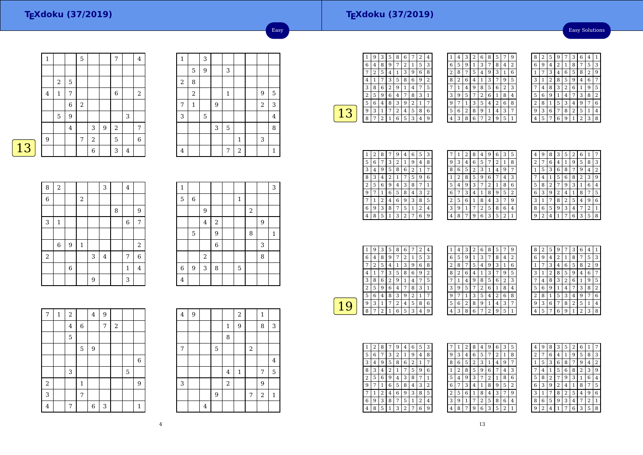#### Easy Solutions

|   | 1 |                |                  | 5          |             |   | 7              |   | 4              |
|---|---|----------------|------------------|------------|-------------|---|----------------|---|----------------|
|   |   |                |                  |            |             |   |                |   |                |
|   |   | $\overline{2}$ | 5                |            |             |   |                |   |                |
|   | 4 | 1              | 7                |            |             |   | $\,$ 6 $\,$    |   | $\overline{2}$ |
|   |   |                | $\boldsymbol{6}$ | $\sqrt{2}$ |             |   |                |   |                |
|   |   | $\mathbf 5$    | 9                |            |             |   |                | 3 |                |
|   |   |                | $\overline{4}$   |            | 3           | 9 | $\overline{2}$ |   | 7              |
|   | 9 |                |                  | 7          | $\sqrt{2}$  |   | 5              |   | $\,$ 6 $\,$    |
| 3 |   |                |                  |            | $\,$ 6 $\,$ |   | 3              | 4 |                |

| $\mathbf{1}$   |              | 3 |   |              |              |            |                |
|----------------|--------------|---|---|--------------|--------------|------------|----------------|
|                | 5            | 9 |   | 3            |              |            |                |
| $\overline{a}$ | 8            |   |   |              |              |            |                |
|                | $\,2$        |   |   | $\mathbf{1}$ |              | 9          | 5              |
| 7              | $\mathbf{1}$ |   | 9 |              |              | $\sqrt{2}$ | 3              |
| 3              |              | 5 |   |              |              |            | $\overline{4}$ |
|                |              |   | 3 | $\mathbf 5$  |              |            | 8              |
|                |              |   |   |              | $\mathbf{1}$ | 3          |                |
| 4              |              |   |   | 7            | $\sqrt{2}$   |            | 1              |

Easy

| <b>Contract Contract Contract Contract Contract Contract Contract Contract Contract Contract Contract Contract Co</b> |  |
|-----------------------------------------------------------------------------------------------------------------------|--|
|                                                                                                                       |  |

| 8              | $\sqrt{2}$  |   |              |   | 3              |   | $\overline{4}$   |                |
|----------------|-------------|---|--------------|---|----------------|---|------------------|----------------|
| $\overline{6}$ |             |   | $\,2$        |   |                |   |                  |                |
|                |             |   |              |   |                | 8 |                  | 9              |
| 3              | $\mathbf 1$ |   |              |   |                |   | $\boldsymbol{6}$ | $\sqrt{ }$     |
|                |             |   |              |   |                |   |                  |                |
|                | 6           | 9 | $\mathbf{1}$ |   |                |   |                  | $\sqrt{2}$     |
| $\,2$          |             |   |              | 3 | $\overline{4}$ |   | 7                | 6              |
|                |             | 6 |              |   |                |   | $\mathbf{1}$     | $\overline{4}$ |
|                |             |   |              | 9 |                |   | 3                |                |

| $\mathbf{1}$   |   |            |                |              |            |   | 3            |
|----------------|---|------------|----------------|--------------|------------|---|--------------|
| 5              | 6 |            |                | $\mathbf{1}$ |            |   |              |
|                |   | 9          |                |              | $\sqrt{2}$ |   |              |
|                |   | $\bf 4$    | $\overline{2}$ |              |            | 9 |              |
|                | 5 |            | 9              |              | 8          |   | $\mathbf{1}$ |
|                |   |            | 6              |              |            | 3 |              |
|                |   | $\sqrt{2}$ |                |              |            | 8 |              |
| $\overline{6}$ | 9 | 3          | 8              | 5            |            |   |              |
| 4              |   |            |                |              |            |   |              |

| $\overline{7}$ | $\mathbf 1$ | $\overline{a}$ |              | $\overline{4}$ | 9 |                         |   |                |
|----------------|-------------|----------------|--------------|----------------|---|-------------------------|---|----------------|
|                |             | $\overline{4}$ | $\,$ 6 $\,$  |                | 7 | $\overline{\mathbf{c}}$ |   |                |
|                |             | 5              |              |                |   |                         |   |                |
|                |             |                | 5            | 9              |   |                         |   |                |
|                |             |                |              |                |   |                         |   | $\,$ 6 $\,$    |
|                |             | 3              |              |                |   |                         | 5 |                |
| $\,2$          |             |                | $\mathbf{1}$ |                |   |                         |   | $\overline{9}$ |
| 3              |             |                | 7            |                |   |                         |   |                |
| $\overline{4}$ |             | 7              |              | 6              | 3 |                         |   | 1              |

| 4 | 9 |                |             |                         | 2            |       | $\mathbf{1}$ |                |
|---|---|----------------|-------------|-------------------------|--------------|-------|--------------|----------------|
|   |   |                |             | 1                       | 9            |       | 8            | 3              |
|   |   |                |             | 8                       |              |       |              |                |
| 7 |   |                | $\mathbf 5$ |                         |              | $\,2$ |              |                |
|   |   |                |             |                         |              |       |              | $\overline{4}$ |
|   |   |                |             | $\overline{\mathbf{4}}$ | $\mathbf{1}$ |       | 7            | 5              |
| 3 |   |                |             | $\,2$                   |              |       | 9            |                |
|   |   |                | 9           |                         |              | 7     | $\sqrt{2}$   | $\mathbf{1}$   |
|   |   | $\overline{4}$ |             |                         |              |       |              |                |

| 1 | 9 | 3 | 5 | 8 | 6 | 7 | $\overline{2}$ | 4 |  |
|---|---|---|---|---|---|---|----------------|---|--|
| 6 | 4 | 8 | 9 | 7 | 2 |   | 5              | 3 |  |
|   | 2 | 5 | 4 | 1 | З | 9 | 6              | 8 |  |
| 4 |   | 7 | 3 | 5 | 8 | 6 | 9              | 2 |  |
| 3 | 8 | 6 | 2 | 9 | 1 | 4 | 7              | 5 |  |
| 2 | 5 | 9 | 6 | 4 | 7 | 8 | 3              | 1 |  |
| 5 | 6 | 4 | 8 | 3 | 9 | 2 | 1              |   |  |
| 9 | 3 | 1 | 7 | 2 | 4 | 5 | 8              | 6 |  |
| 8 | 7 | 2 |   | 6 | 5 | 3 | 4              | g |  |
|   |   |   |   |   |   |   |                |   |  |

| 1 | 4 | 3 | $\overline{2}$ | 6 | 8 | 5              | 7 | 9              |  |
|---|---|---|----------------|---|---|----------------|---|----------------|--|
| 6 | 5 | 9 | 1              | 3 | 7 | 8              | 4 | $\overline{2}$ |  |
| 2 | 8 | 7 | 5              | 4 | 9 | 3              | 1 | 6              |  |
| 8 | 2 | 6 | 4              | 1 | 3 | 7              | 9 | 5              |  |
| 7 | 1 | 4 | 9              | 8 | 5 | 6              | 2 | 3              |  |
| 3 | 9 | 5 | 7              | 2 | 6 | 1              | 8 | 4              |  |
| 9 | 7 | 1 | 3              | 5 | 4 | 2              | 6 | 8              |  |
| 5 | 6 | 2 | 8              | 9 | 1 | $\overline{4}$ | 3 | 7              |  |
| 4 | 3 | 8 | 6              | 7 | 2 | 9              | 5 | 1              |  |

| 8 | 2 | 5 | 9 |   | 3 | 6              | 4 | 1              |
|---|---|---|---|---|---|----------------|---|----------------|
| 6 | 9 | 4 | 2 | 1 | 8 |                | 5 | 3              |
| 1 |   | 3 | 4 | 6 | 5 | 8              | 2 | 9              |
| 3 |   | 2 | 8 | 5 | 9 | 4              | 6 | 7              |
| 7 | 4 | 8 | 3 | 2 | 6 | 1              | 9 | 5              |
| 5 | 6 | 9 | 1 | 4 | 7 | 3              | 8 | $\overline{2}$ |
| 2 | 8 | 1 | 5 | 3 | 4 | 9              | 7 | 6              |
| 9 | 3 | 6 | 7 | 8 | 2 | 5              | 1 | 4              |
| 4 | 5 |   | 6 | 9 | 1 | $\overline{2}$ | 3 | 8              |

| 1              | 2 | 8 |   | 9 | 4 | 6 | 5 | 3 |
|----------------|---|---|---|---|---|---|---|---|
| 5              | 6 | 7 | 3 | 2 | 1 | 9 | 4 | 8 |
| 3              | 4 | 9 | 5 | 8 | 6 | 2 | 1 | 7 |
| 8              | 3 | 4 | 2 | 1 | 7 | 5 | 9 | 6 |
| $\overline{2}$ | 5 | 6 | 9 | 4 | 3 | 8 | 7 | 1 |
| 9              | 7 | 1 | 6 | 5 | 8 | 4 | 3 | 2 |
|                | 1 | 2 | 4 | 6 | 9 | 3 | 8 | 5 |
| 6              | 9 | 3 | 8 | 7 | 5 | 1 | 2 | 4 |
| 4              | 8 | 5 | 1 | 3 | 2 |   | 6 | 9 |

|   | 1 | 2 | 8 | 4 | 9              | 6 | 3              | 5            |
|---|---|---|---|---|----------------|---|----------------|--------------|
| 9 | 3 | 4 | 6 | 5 | 7              | 2 | $\mathbf{1}$   | 8            |
| 8 | 6 | 5 | 2 | 3 | 1              | 4 | 9              | 7            |
|   | 2 | 8 | 5 | 9 | 6              |   | 4              | 3            |
| 5 | 4 | 9 | 3 | 7 | $\overline{c}$ | 1 | 8              | 6            |
| 6 |   | 3 | 4 | 1 | 8              | 9 | 5              | 2            |
| 2 | 5 | 6 | 1 | 8 | 4              | 3 | 7              | g            |
| 3 | 9 | 1 | 7 | 2 | 5              | 8 | 6              | 4            |
| 4 | 8 | 7 | 9 | 6 | 3              | 5 | $\overline{2}$ | $\mathbf{1}$ |
|   |   |   |   |   |                |   |                |              |

| 4 | 9 | 8 | 3 | 5 | 2 | 6 | 1              |   |
|---|---|---|---|---|---|---|----------------|---|
| 2 |   | 6 | 4 | 1 | 9 | 5 | 8              | 3 |
| 1 | 5 | З | 6 | 8 | 7 | 9 | 4              | 2 |
| 7 | 4 | 1 | 5 | 6 | 8 | 2 | 3              | 9 |
| 5 | 8 | 2 | 7 | 9 | З | 1 | 6              | 4 |
| 6 | 3 | 9 | 2 | 4 | 1 | 8 | 7              | 5 |
| 3 | 1 |   | 8 | 2 | 5 | 4 | 9              | 6 |
| 8 | 6 | 5 | 9 | 3 | 4 | 7 | $\overline{2}$ | 1 |
| q | 2 | 4 |   |   | 6 | 3 | 5              | 8 |

| 1 | 9 | 3 | 5 | 8 | 6 |   | $\overline{2}$ | 4 |  |
|---|---|---|---|---|---|---|----------------|---|--|
| 6 | 4 | 8 | g | 7 | 2 | 1 | 5              | 3 |  |
|   | 2 | 5 | 4 | 1 | 3 | 9 | 6              | 8 |  |
| 4 |   |   | 3 | 5 | 8 | 6 | g              | 2 |  |
| 3 | 8 | 6 | 2 | 9 | 1 | 4 | 7              | 5 |  |
| 2 | 5 | 9 | 6 | 4 | 7 | 8 | З              |   |  |
| 5 | 6 | 4 | 8 | 3 | 9 | 2 |                |   |  |
| 9 | 3 | 1 |   | 2 | 4 | 5 | 8              | 6 |  |
| 8 |   | 2 |   | 6 | 5 | 3 | 4              | 9 |  |
|   |   |   |   |   |   |   |                |   |  |

| $\mathbf{1}$ | 4 | 3 | $\overline{2}$ | 6 | 8 | 5              | 7              | 9 |  |
|--------------|---|---|----------------|---|---|----------------|----------------|---|--|
| 6            | 5 | 9 | 1              | 3 | 7 | 8              | 4              | 2 |  |
| 2            | 8 | 7 | 5              | 4 | 9 | 3              | 1              | 6 |  |
| 8            | 2 | 6 | 4              | 1 | 3 | 7              | 9              | 5 |  |
| 7            | 1 | 4 | 9              | 8 | 5 | 6              | $\overline{2}$ | 3 |  |
| 3            | 9 | 5 | 7              | 2 | 6 | 1              | 8              | 4 |  |
| 9            | 7 | 1 | 3              | 5 | 4 | $\overline{2}$ | 6              | 8 |  |
| 5            | 6 | 2 | 8              | 9 | 1 | 4              | 3              | 7 |  |
| 4            | 3 | 8 | 6              | 7 | 2 | 9              | 5              | 1 |  |

| 8              | 2 | 5              | 9              |   | 3            | 6              | 4              | 1              |
|----------------|---|----------------|----------------|---|--------------|----------------|----------------|----------------|
| 6              | 9 | 4              | $\overline{2}$ | 1 | 8            | 7              | 5              | 3              |
| 1              | 7 | 3              | 4              | 6 | 5            | 8              | $\overline{2}$ | 9              |
| 3              | 1 | $\overline{2}$ | 8              | 5 | 9            | 4              | 6              | 7              |
| 7              | 4 | 8              | 3              | 2 | 6            | 1              | 9              | 5              |
| 5              | 6 | 9              | 1              | 4 | 7            | 3              | 8              | $\overline{c}$ |
| $\overline{2}$ | 8 | 1              | 5              | 3 | 4            | 9              | 7              | 6              |
| 9              | 3 | 6              | 7              | 8 | 2            | 5              | 1              | 4              |
| 4              | 5 | 7              | 6              | 9 | $\mathbf{1}$ | $\overline{2}$ | 3              | 8              |

| 1 | 2 | 8 |   | 9 | 4              | 6 | 5 | 3              |  |
|---|---|---|---|---|----------------|---|---|----------------|--|
| 5 | 6 | 7 | 3 | 2 | 1              | 9 | 4 | 8              |  |
| 3 | 4 | 9 | 5 | 8 | 6              | 2 | 1 | 7              |  |
| 8 | 3 | 4 | 2 | 1 | 7              | 5 | 9 | 6              |  |
| 2 | 5 | 6 | 9 | 4 | 3              | 8 | 7 | 1              |  |
| 9 |   | 1 | 6 | 5 | 8              | 4 | 3 | $\overline{c}$ |  |
|   | 1 | 2 | 4 | 6 | 9              | 3 | 8 | 5              |  |
| 6 | 9 | 3 | 8 | 7 | 5              | 1 | 2 | 4              |  |
| 4 | 8 | 5 | 1 | 3 | $\overline{2}$ |   | 6 | 9              |  |

|   | 1 | 2 | 8 | 4              | 9 | 6              | 3              | 5              |
|---|---|---|---|----------------|---|----------------|----------------|----------------|
| 9 | 3 | 4 | 6 | 5              | 7 | $\overline{2}$ | 1              | 8              |
| 8 | 6 | 5 | 2 | 3              | 1 | 4              | 9              | 7              |
| 1 | 2 | 8 | 5 | 9              | 6 | 7              | 4              | 3              |
| 5 | 4 | 9 | 3 | 7              | 2 | 1              | 8              | 6              |
| 6 | 7 | 3 | 4 | 1              | 8 | 9              | 5              | $\overline{2}$ |
| 2 | 5 | 6 | 1 | 8              | 4 | 3              | 7              | 9              |
| 3 | 9 | 1 | 7 | $\overline{2}$ | 5 | 8              | 6              | 4              |
| 4 | 8 | 7 | 9 | 6              | 3 | 5              | $\overline{2}$ | $\mathbf{1}$   |

| 4 | 9              | 8 | 3              | 5 | 2 | 6              | 1              | 7 |
|---|----------------|---|----------------|---|---|----------------|----------------|---|
| 2 | 7              | 6 | 4              | 1 | 9 | 5              | 8              | 3 |
| 1 | 5              | 3 | 6              | 8 | 7 | 9              | 4              | 2 |
| 7 | 4              | 1 | 5              | 6 | 8 | $\overline{a}$ | 3              | 9 |
| 5 | 8              | 2 | 7              | 9 | 3 | 1              | 6              | 4 |
| 6 | 3              | 9 | $\overline{c}$ | 4 | 1 | 8              | 7              | 5 |
| 3 | 1              | 7 | 8              | 2 | 5 | 4              | 9              | 6 |
| 8 | 6              | 5 | 9              | 3 | 4 | 7              | $\overline{2}$ | 1 |
| g | $\overline{c}$ | 4 | 1              | 7 | 6 | 3              | 5              | 8 |
|   |                |   |                |   |   |                |                |   |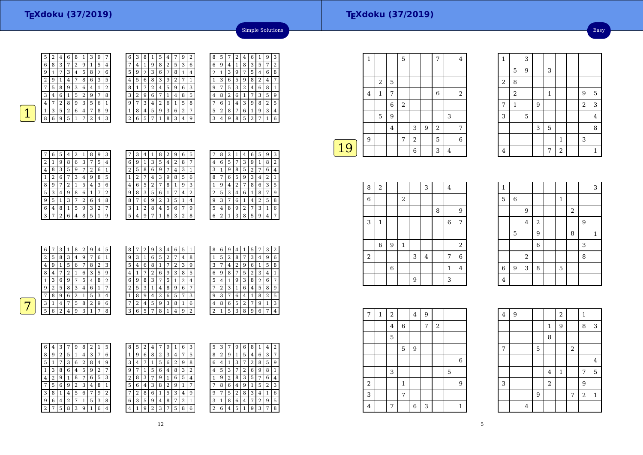Easy

 $\boldsymbol{8}$ 



| 6 | 3 | 8 | 1 | 5 | 4 |   | 9              | 2 |
|---|---|---|---|---|---|---|----------------|---|
| 7 | 4 | 1 | 9 | 8 | 2 | 5 | 3              | 6 |
| 5 | 9 | 2 | 3 | 6 | 7 | 8 | 1              | 4 |
| 4 | 5 | 6 | 8 | 3 | 9 | 2 | 7              | 1 |
| 8 | 1 | 7 | 2 | 4 | 5 | 9 | 6              | 3 |
| 3 | 2 | 9 | 6 | 7 | 1 | 4 | 8              | 5 |
| 9 |   | 3 | 4 | 2 | 6 | 1 | 5              | 8 |
| 1 | 8 | 4 | 5 | 9 | 3 | 6 | $\overline{2}$ | 7 |
| 2 | 6 | 5 | 7 |   | 8 | 3 | 4              | 9 |

| ì | 8 | 5 | 7 | 2 | 4 | 6 | 1 | 9 | З |
|---|---|---|---|---|---|---|---|---|---|
| ì | 6 | 9 | 4 | 1 | 8 | 3 | 5 | 7 | 2 |
| Ŀ | 2 | 1 | 3 | 9 | 7 | 5 | 4 | 6 | 8 |
|   | 1 | 3 | 6 | 5 | 9 | 8 | 2 | 4 | 7 |
| ξ | 9 | 7 | 5 | 3 | 2 | 4 | 6 | 8 | 1 |
| ; | 4 | 8 | 2 | 6 | 1 | 7 | 3 | 5 | 9 |
| ξ |   | 6 | 1 | 4 | 3 | 9 | 8 | 2 | 5 |
| 7 | 5 | 2 | 8 | 7 | 6 | 1 | 9 | 3 | 4 |
|   | 3 | 4 | 9 | 8 | 5 | 2 |   | 1 | 6 |
|   |   |   |   |   |   |   |   |   |   |

Simple Solutions

|   | 6              | 5              | 4              | 2 | 1 | 8 | g | 3 |
|---|----------------|----------------|----------------|---|---|---|---|---|
| 2 | 1              | 9              | 8              | 6 | 3 | 7 | 5 | 4 |
| 4 | 8              | 3              | 5              | 9 | 7 | 2 | 6 | 1 |
| 1 | $\overline{2}$ | 6              | 7              | 3 | 4 | 9 | 8 | 5 |
| 8 | 9              | 7              | $\overline{c}$ | 1 | 5 | 4 | 3 | 6 |
| 5 | 3              | 4              | 9              | 8 | 6 | 1 | 7 | 2 |
| 9 | 5              | 1              | 3              | 7 | 2 | 6 | 4 | 8 |
| 6 | 4              | 8              | 1              | 5 | 9 | 3 | 2 | 7 |
| 3 | 7              | $\overline{2}$ | 6              | 4 | 8 | 5 | 1 | 9 |

|   | З | 4 | 1 | 8 | 2 | 9 | 6 | 5              |
|---|---|---|---|---|---|---|---|----------------|
| 6 | 9 | 1 | 3 | 5 | 4 | 2 | 8 | 7              |
| 2 | 5 | 8 | 6 | 9 | 7 | 4 | 3 | 1              |
| 1 | 2 |   | 4 | 3 | 9 | 8 | 5 | 6              |
| 4 | 6 | 5 | 2 | 7 | 8 | 1 | 9 | 3              |
| 9 | 8 | 3 | 5 | 6 | 1 |   | 4 | $\overline{2}$ |
| 8 |   | 6 | 9 | 2 | 3 | 5 | 1 | 4              |
| 3 | 1 | 2 | 8 | 4 | 5 | 6 | 7 | 9              |
| 5 | 4 | 9 |   | 1 | 6 | 3 | 2 | 8              |

|   |   | 2 | 1 | 4 |                |   |   | 3            |
|---|---|---|---|---|----------------|---|---|--------------|
| 4 | 6 | 5 |   | 3 | 9              | 1 | 8 | 2            |
| 3 | 1 | 9 | 8 | 5 | $\overline{c}$ | 7 | 6 | 4            |
| 8 |   | 6 | 5 | 9 | 3              | 4 | 2 | $\mathbf{1}$ |
| 1 | 9 | 4 | 2 | 7 | 8              | 6 | 3 | 5            |
| 2 | 5 | 3 | 4 | 6 | 1              | 8 | 7 | 9            |
| 9 | 3 | 7 | 6 | 1 | 4              | 2 | 5 | 8            |
| 5 | 4 | 8 | 9 | 2 | 7              | 3 | 1 | 6            |
| 6 | 2 | 1 | 3 | 8 | 5              | 9 | 4 | 7            |
|   |   | 8 |   |   |                |   |   | 9<br>6<br>5  |

| 6              | 7 | 3              |                | 8              | 2 | 9              | 4 | 5              | 8 | 7      | 2 | 9 | 3              | 4 | 6 | 5 | $\mathbf{1}$   |  |
|----------------|---|----------------|----------------|----------------|---|----------------|---|----------------|---|--------|---|---|----------------|---|---|---|----------------|--|
| $\overline{2}$ | 5 | 8              | 3              | 4              | 9 | 7              | 6 | 1              | 9 | 3      |   | 6 | 5              | 2 | 7 | 4 | 8              |  |
| 4              | 9 | ┸              | 5              | 6              | 7 | 8              | 2 | 3              | 5 | 4      | 6 | 8 |                | ⇁ | 2 | 3 | 9              |  |
| 8              | 4 | 7              | ר              | 1              | 6 | 3              | 5 | 9              | 4 |        | ⇁ | ി | 6              | 9 | 3 | 8 | 5              |  |
| 1              | 3 | 6              | 9              | 7              | 5 | 4              | 8 | $\overline{2}$ | 6 | 9      | 8 | 3 | 7              | 5 | 1 | 2 | 4              |  |
| 9              | 2 | 5              | 8              | 3              | 4 | 6              |   | 7              | 2 | 5      | 3 |   | 4              | 8 | 9 | 6 | 7              |  |
| 7              | 8 | 9              | 6              | $\overline{2}$ |   | 5              | 3 | 4              | 1 | 8      | 9 | 4 | $\overline{2}$ | 6 | 5 | 7 | 3              |  |
| 3              |   | 4              | 7              | 5              | 8 | $\overline{2}$ | 9 | 6              | 7 | ∍<br>∠ | 4 | 5 | 9              | 3 | 8 | 1 | 6              |  |
| 5              | 6 | $\overline{2}$ | $\overline{4}$ | 9              | 3 |                | 7 | 8              | 3 | 6      | 5 | 7 | 8              |   | 4 | 9 | $\overline{2}$ |  |
|                |   |                |                |                |   |                |   |                |   |        |   |   |                |   |   |   |                |  |

| 8              | 6 | 9 | 4 | 1 | 5              |   | 3 | $\overline{2}$ |
|----------------|---|---|---|---|----------------|---|---|----------------|
| 1              | 5 | 2 | 8 | 7 | 3              | 4 | 9 | 6              |
| 3              | 7 | 4 | 2 | 9 | 6              | 1 | 5 | 8              |
| 6              | 9 | 8 | 7 | 5 | $\overline{2}$ | 3 | 4 | 1              |
| 5              | 4 | 1 | 9 | 3 | 8              | 2 | 6 | 7              |
|                | 2 | 3 | 1 | 6 | 4              | 5 | 8 | 9              |
| 9              | 3 | 7 | 6 | 4 | 1              | 8 | 2 | 5              |
| 4              | 8 | 6 | 5 | 2 | 7              | 9 | 1 | 3              |
| $\overline{2}$ | 1 | 5 | 3 | 8 | 9              | 6 | 7 | 4              |

| 6 | 4 | 3 | 7 | 9 | 8 | $\overline{2}$ | 1 | 5 | 8 | 5 | $\overline{2}$ |
|---|---|---|---|---|---|----------------|---|---|---|---|----------------|
| 8 | 9 | 2 | 5 | 1 | 4 | 3              | 7 | 6 | 1 | 9 | 6              |
| 5 |   | 7 | 3 | 6 | 2 | 8              | 4 | 9 | 3 | 4 | 7              |
| 1 | 3 | 8 | 6 | 4 | 5 | 9              | 2 | 7 | 9 | 7 | 1              |
| 4 | 2 | 9 | 1 | 8 | 7 | 6              | 5 | 3 | 2 | 8 | 3              |
| 7 | 5 | 6 | 9 | 2 | 3 | 4              | 8 | 1 | 5 | 6 | 4              |
| 3 | 8 | 1 | 4 | 5 | 6 | 7              | 9 | 2 | 7 | 2 | 8              |
| 9 | 6 | 4 | 2 | 7 | 1 | 5              | 3 | 8 | 6 | 3 | 5              |
| 2 | 7 | 5 | 8 | 3 | 9 | 1              | 6 | 4 | 4 | 1 | 9              |

| 8            | 5 | 2 | 4 |   | g |   | 6 | 3 | 5             | 3 |   | 9 | 6 | 8 | 1              | 4 | 2 |
|--------------|---|---|---|---|---|---|---|---|---------------|---|---|---|---|---|----------------|---|---|
| $\mathbf{1}$ | 9 | 6 | 8 | 2 | 3 | 4 | 7 | 5 | 8             | 2 | 9 | 1 | 5 | 4 | 6              | 3 | 7 |
| 3            | 4 | 7 | 1 | 5 | 6 | 2 | 9 | 8 | 6             | 4 | 1 | 3 | 7 | 2 | 8              | 5 | 9 |
| 9            | 7 | 1 | 5 | 6 | 4 | 8 | 3 | 2 | 4             | 5 | 3 |   | 2 | 6 | 9              | 8 | 1 |
| 2            | 8 | 3 | 7 | 9 | 1 | 6 | 5 | 4 |               | 9 | 2 | 8 | 3 | 5 | 7              | 6 | 4 |
| 5            | 6 | 4 | 3 | 8 | 2 | 9 | 1 | 7 | 7             | 8 | 6 | 4 | 9 | 1 | 5              | 2 | 3 |
| 7            | 2 | 8 | 6 |   | 5 | 3 | 4 | 9 | 9             | ⇁ | 5 | 2 | 8 | 3 | 4              | 1 | 6 |
| 6            | 3 | 5 | 9 | 4 | 8 | 7 | 2 | 1 | 3             |   | 8 | 6 | 4 | 7 | $\overline{2}$ | 9 | 5 |
| 4            | 1 | 9 | 2 | 3 | 7 | 5 | 8 | 6 | $\mathcal{D}$ | 6 | 4 | 5 | 1 | 9 | 3              | 7 | 8 |

|            | 1 |             |                | 5              |                |   | 7              |                | 4              |
|------------|---|-------------|----------------|----------------|----------------|---|----------------|----------------|----------------|
|            |   |             |                |                |                |   |                |                |                |
|            |   | 2           | 5              |                |                |   |                |                |                |
|            | 4 | 1           | 7              |                |                |   | 6              |                | $\overline{2}$ |
|            |   |             | 6              | $\overline{2}$ |                |   |                |                |                |
|            |   | $\mathbf 5$ | 9              |                |                |   |                | 3              |                |
|            |   |             | $\overline{4}$ |                | 3              | 9 | $\overline{2}$ |                | 7              |
|            | 9 |             |                | 7              | $\overline{2}$ |   | 5              |                | 6              |
| $\vert$ 19 |   |             |                |                | 6              |   | 3              | $\overline{4}$ |                |

| 8              | $\sqrt{2}$   |                  |                  |   | 3       |   | 4           |                |
|----------------|--------------|------------------|------------------|---|---------|---|-------------|----------------|
| $\overline{6}$ |              |                  | $\boldsymbol{2}$ |   |         |   |             |                |
|                |              |                  |                  |   |         | 8 |             | 9              |
| 3              | $\mathbf{1}$ |                  |                  |   |         |   | $\,$ 6 $\,$ | 7              |
|                |              |                  |                  |   |         |   |             |                |
|                | $\,$ 6 $\,$  | $\boldsymbol{9}$ | $\mathbf{1}$     |   |         |   |             | $\sqrt{2}$     |
| $\sqrt{2}$     |              |                  |                  | 3 | $\bf 4$ |   | 7           | $\overline{6}$ |
|                |              | $\,6$            |                  |   |         |   | 1           | $\overline{4}$ |
|                |              |                  |                  | 9 |         |   | 3           |                |

|                         |   |                |                |   | $\mathbf{1}$   |                | 3                |             |
|-------------------------|---|----------------|----------------|---|----------------|----------------|------------------|-------------|
| $\overline{\mathbf{4}}$ |   |                |                | 7 | $\overline{c}$ |                |                  | $\mathbf 1$ |
|                         |   |                |                |   |                |                |                  |             |
|                         |   |                |                |   |                |                |                  |             |
| $\mathbf{1}$            |   |                |                |   |                |                |                  | 3           |
| 5                       | 6 |                |                |   | $\mathbf{1}$   |                |                  |             |
|                         |   | 9              |                |   |                | $\overline{a}$ |                  |             |
|                         |   | $\overline{4}$ | $\overline{a}$ |   |                |                | $\boldsymbol{9}$ |             |
|                         | 5 |                | $\overline{9}$ |   |                | 8              |                  | $\mathbf 1$ |
|                         |   |                | 6              |   |                |                | 3                |             |
|                         |   | $\,2$          |                |   |                |                | 8                |             |
| 6                       | 9 | 3              | 8              |   | 5              |                |                  |             |
| $\overline{4}$          |   |                |                |   |                |                |                  |             |

1

7

3

<sup>3</sup>

 $\begin{array}{c|c|c|c|c} 5 & 9 & 3 \\ \hline 8 & & & \end{array}$ 

2 1 9 5

 $3 \mid 5 \mid$   $\mid$  8 1

<sup>1</sup> <sup>9</sup> <sup>2</sup> <sup>3</sup>

 $\begin{array}{|c|c|c|c|c|c|c|c|c|}\n\hline\n3 & 5 & 4\n\end{array}$ 

5

 $\frac{2}{1}$  8 2

| 7     | 1 | 2              |              | 4 | 9 |                |   |             |
|-------|---|----------------|--------------|---|---|----------------|---|-------------|
|       |   | $\overline{4}$ | $\,6$        |   | 7 | $\overline{2}$ |   |             |
|       |   | $\mathbf 5$    |              |   |   |                |   |             |
|       |   |                | 5            | 9 |   |                |   |             |
|       |   |                |              |   |   |                |   | $\,$ 6 $\,$ |
|       |   | 3              |              |   |   |                | 5 |             |
| $\,2$ |   |                | $\mathbf{1}$ |   |   |                |   | 9           |
| 3     |   |                | 7            |   |   |                |   |             |
| 4     |   | 7              |              | 6 | 3 |                |   | 1           |

| $\bf 4$ | $\overline{9}$ |   |                |              | $\overline{2}$ |            | $\mathbf{1}$     |         |
|---------|----------------|---|----------------|--------------|----------------|------------|------------------|---------|
|         |                |   |                | $\mathbf{1}$ | 9              |            | 8                | 3       |
|         |                |   |                | 8            |                |            |                  |         |
| 7       |                |   | $\overline{5}$ |              |                | $\sqrt{2}$ |                  |         |
|         |                |   |                |              |                |            |                  | $\bf 4$ |
|         |                |   |                | $\bf 4$      | $\mathbf 1$    |            | 7                | 5       |
| 3       |                |   |                | $\,2$        |                |            | 9                |         |
|         |                |   | 9              |              |                | 7          | $\boldsymbol{2}$ | $\,1\,$ |
|         |                | 4 |                |              |                |            |                  |         |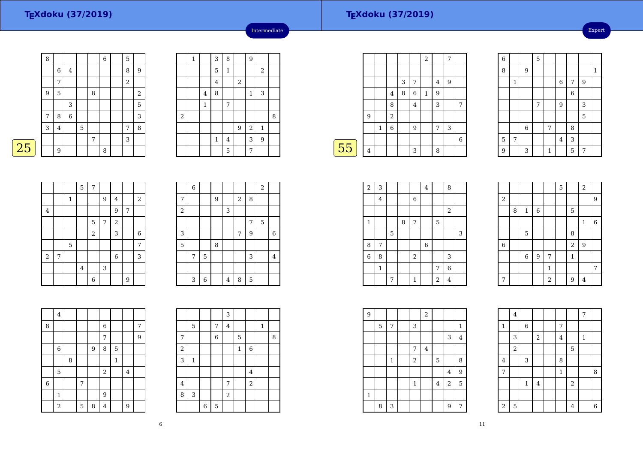| 8 |                |                |   |                | $\overline{6}$ | 5          |                |
|---|----------------|----------------|---|----------------|----------------|------------|----------------|
|   | 6              | $\overline{4}$ |   |                |                | 8          | $\overline{9}$ |
|   | 7              |                |   |                |                | $\sqrt{2}$ |                |
| 9 | 5              |                |   | 8              |                |            | $\sqrt{2}$     |
|   |                | 3              |   |                |                |            | 5              |
| 7 | 8              | $\,$ 6 $\,$    |   |                |                |            | 3              |
| 3 | $\overline{4}$ |                | 5 |                |                | 7          | 8              |
|   |                |                |   | $\overline{7}$ |                | 3          |                |
|   | 9              |                |   |                | 8              |            |                |

|       | $\mathbf{1}$ |                | 3              | 8        |       | 9              |                  |   |
|-------|--------------|----------------|----------------|----------|-------|----------------|------------------|---|
|       |              |                | 5              | $\,1\,$  |       |                | $\sqrt{2}$       |   |
|       |              |                | $\overline{4}$ |          | $\,2$ |                |                  |   |
|       |              | $\overline{4}$ | 8              |          |       | $\mathbf{1}$   | 3                |   |
|       |              | $\mathbf{1}$   |                | 7        |       |                |                  |   |
| $\,2$ |              |                |                |          |       |                |                  | 8 |
|       |              |                |                |          | 9     | $\overline{2}$ | $\mathbf{1}$     |   |
|       |              |                | $\mathbf 1$    | $\bf{4}$ |       | 3              | $\boldsymbol{9}$ |   |
|       |              |                |                | 5        |       | 7              |                  |   |

Intermediate

|--|

|                |   |             | 5       | $\overline{7}$ |   |                |   |                  |
|----------------|---|-------------|---------|----------------|---|----------------|---|------------------|
|                |   | $\mathbf 1$ |         |                | 9 | 4              |   | $\overline{2}$   |
| $\overline{4}$ |   |             |         |                |   | 9              | 7 |                  |
|                |   |             |         | 5              | 7 | $\overline{a}$ |   |                  |
|                |   |             |         | $\overline{a}$ |   | 3              |   | $\boldsymbol{6}$ |
|                |   | $\mathbf 5$ |         |                |   |                |   | 7                |
| $\overline{2}$ | 7 |             |         |                |   | $\overline{6}$ |   | 3                |
|                |   |             | $\bf 4$ |                | 3 |                |   |                  |
|                |   |             |         | 6              |   |                | 9 |                  |

|       | $\,$ 6 $\,$ |   |   |                |       |   | $\sqrt{2}$ |                |
|-------|-------------|---|---|----------------|-------|---|------------|----------------|
| 7     |             |   | 9 |                | $\,2$ | 8 |            |                |
| $\,2$ |             |   |   | 3              |       |   |            |                |
|       |             |   |   |                |       | 7 | 5          |                |
| 3     |             |   |   |                | 7     | 9 |            | $\,6$          |
| 5     |             |   | 8 |                |       |   |            |                |
|       | 7           | 5 |   |                |       | 3 |            | $\overline{4}$ |
|       |             |   |   |                |       |   |            |                |
|       | 3           | 6 |   | $\overline{4}$ | 8     | 5 |            |                |

|                | $\overline{4}$ |   |   |       |                |              |         |   |
|----------------|----------------|---|---|-------|----------------|--------------|---------|---|
| 8              |                |   |   |       | $\,6\,$        |              |         | 7 |
|                |                |   |   |       | 7              |              |         | 9 |
|                | $\,6$          |   |   | $9\,$ | 8              | 5            |         |   |
|                |                | 8 |   |       |                | $\mathbf{1}$ |         |   |
|                | $\overline{5}$ |   |   |       | $\,2$          |              | $\bf 4$ |   |
| $\overline{6}$ |                |   | 7 |       |                |              |         |   |
|                | $\mathbf{1}$   |   |   |       | 9              |              |         |   |
|                | $\,2$          |   | 5 | 8     | $\overline{4}$ |              | 9       |   |

|         |              |                |   | 3                |             |                |              |   |
|---------|--------------|----------------|---|------------------|-------------|----------------|--------------|---|
|         | 5            |                | 7 | $\overline{4}$   |             |                | $\mathbf{1}$ |   |
| 7       |              |                | 6 |                  | $\mathbf 5$ |                |              | 8 |
| $\,2$   |              |                |   |                  | $\mathbf 1$ | $\overline{6}$ |              |   |
| 3       | $\mathbf{1}$ |                |   |                  |             |                |              |   |
|         |              |                |   |                  |             | $\bf 4$        |              |   |
| $\bf 4$ |              |                |   | 7                |             | $\sqrt{2}$     |              |   |
| 8       | 3            |                |   | $\boldsymbol{2}$ |             |                |              |   |
|         |              | $\overline{6}$ | 5 |                  |             |                |              |   |

|    |   |              |            |   |   | $\sqrt{2}$   |   | 7 |   |
|----|---|--------------|------------|---|---|--------------|---|---|---|
|    |   |              |            |   |   |              |   |   |   |
|    |   |              |            | 3 | 7 |              | 4 | 9 |   |
|    |   |              | 4          | 8 | 6 | $\mathbf{1}$ | 9 |   |   |
|    |   |              | 8          |   | 4 |              | 3 |   | 7 |
|    | 9 |              | $\sqrt{2}$ |   |   |              |   |   |   |
|    |   | $\mathbf{1}$ | 6          |   | 9 |              | 7 | 3 |   |
|    |   |              |            |   |   |              |   |   | 6 |
| 55 | 4 |              |            |   | 3 |              | 8 |   |   |
|    |   |              |            |   |   |              |   |   |   |

| 8 |              | 9                |   |   |                  |                |   | 1 |
|---|--------------|------------------|---|---|------------------|----------------|---|---|
|   | $\mathbf{1}$ |                  |   |   | $\boldsymbol{6}$ | 7              | 9 |   |
|   |              |                  |   |   |                  | $\overline{6}$ |   |   |
|   |              |                  | 7 |   | 9                |                | 3 |   |
|   |              |                  |   |   |                  |                | 5 |   |
|   |              | $\boldsymbol{6}$ |   | 7 |                  | 8              |   |   |
| 5 | 7            |                  |   |   | $\overline{4}$   | 3              |   |   |
| 9 |              | 3                |   | 1 |                  | 5              | 7 |   |
|   |              |                  |   |   |                  |                |   |   |

<sup>5</sup>

 $6$ 

| $\,2$          | 3            |                |   |            | $\bf 4$ |                | 8                |   |  |
|----------------|--------------|----------------|---|------------|---------|----------------|------------------|---|--|
|                | $\bf 4$      |                |   | $\,6$      |         |                |                  |   |  |
|                |              |                |   |            |         |                | $\,2$            |   |  |
| $\mathbf{1}$   |              |                | 8 | 7          |         | 5              |                  |   |  |
|                |              | $\overline{5}$ |   |            |         |                |                  | 3 |  |
| 8              | 7            |                |   |            | $\,6$   |                |                  |   |  |
| $\overline{6}$ | 8            |                |   | $\sqrt{2}$ |         |                | 3                |   |  |
|                | $\mathbf{1}$ |                |   |            |         | 7              | $\boldsymbol{6}$ |   |  |
|                |              | 7              |   | 1          |         | $\overline{2}$ | 4                |   |  |

|                  |   |                |                |              | 5 |                | $\boldsymbol{2}$ |   |
|------------------|---|----------------|----------------|--------------|---|----------------|------------------|---|
| $\boldsymbol{2}$ |   |                |                |              |   |                |                  | 9 |
|                  | 8 | $\,1\,$        | $\,6$          |              |   | $\mathbf 5$    |                  |   |
|                  |   |                |                |              |   |                | $\mathbf{1}$     | 6 |
|                  |   | 5              |                |              |   | 8              |                  |   |
| $\,6\,$          |   |                |                |              |   | $\overline{a}$ | $\overline{9}$   |   |
|                  |   | $\overline{6}$ | $\overline{9}$ | 7            |   | $\mathbf{1}$   |                  |   |
|                  |   |                |                | $\mathbf{1}$ |   |                |                  | 7 |
| 7                |   |                |                | $\sqrt{2}$   |   | 9              | $\overline{4}$   |   |

 $\frac{4}{\sqrt{2}}$  | | | | | |  $\frac{7}{\sqrt{2}}$ 

 $\begin{array}{|c|c|c|c|c|}\n\hline\n2 & 5 \\
\hline\n\end{array}$ 

 $\begin{array}{|c|c|c|c|c|c|c|c|}\n\hline\n\text{7} & & 1 & 8 \\
\hline\n\end{array}$  $\frac{1}{4}$   $\frac{4}{2}$ 

<sup>5</sup> <sup>4</sup> <sup>6</sup>

2 4 1

 $\begin{array}{|c|c|c|c|c|c|}\n\hline\n1 & 6 & 7 \\
\hline\n\end{array}$ 3 <sup>2</sup>

 $\begin{array}{|c|c|c|c|c|}\n\hline\n\text{4} & \text{3} & \text{8}\n\end{array}$ 

4

2

1

4

7

2

| 9 |             |             |                | $\sqrt{2}$              |             |                |              |  |
|---|-------------|-------------|----------------|-------------------------|-------------|----------------|--------------|--|
|   | $\mathbf 5$ | 7           | 3              |                         |             |                | $\mathbf{1}$ |  |
|   |             |             |                |                         |             | 3              | $\bf 4$      |  |
|   |             |             | 7              | $\overline{\mathbf{4}}$ |             |                |              |  |
|   |             | $\mathbf 1$ | $\overline{2}$ |                         | $\mathbf 5$ |                | 8            |  |
|   |             |             |                |                         |             | 4              | 9            |  |
|   |             |             | 1              |                         | 4           | $\overline{2}$ | 5            |  |
| 1 |             |             |                |                         |             |                |              |  |
|   | 8           | 3           |                |                         |             | 9              | 7            |  |

11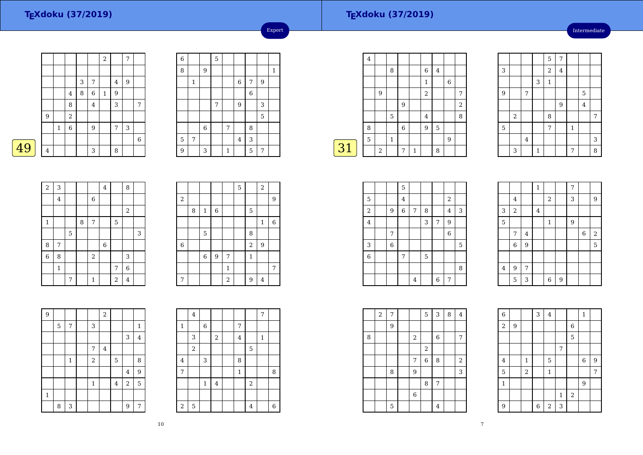Intermediate

|   |                |              |                |   |                | $\sqrt{2}$   |   | 7 |             |
|---|----------------|--------------|----------------|---|----------------|--------------|---|---|-------------|
|   |                |              |                |   |                |              |   |   |             |
|   |                |              |                | 3 | 7              |              | 4 | 9 |             |
|   |                |              | $\overline{4}$ | 8 | 6              | $\mathbf{1}$ | 9 |   |             |
|   |                |              | 8              |   | $\overline{4}$ |              | 3 |   | 7           |
|   | 9              |              | $\,2$          |   |                |              |   |   |             |
|   |                | $\mathbf{1}$ | 6              |   | 9              |              | 7 | 3 |             |
|   |                |              |                |   |                |              |   |   | $\,$ 6 $\,$ |
| 9 | $\overline{4}$ |              |                |   | 3              |              | 8 |   |             |

| $\overline{6}$ |              |             | 5 |              |             |                |   |              |
|----------------|--------------|-------------|---|--------------|-------------|----------------|---|--------------|
| 8              |              | 9           |   |              |             |                |   | $\mathbf{1}$ |
|                | $\mathbf{1}$ |             |   |              | $\,$ 6 $\,$ | 7              | 9 |              |
|                |              |             |   |              |             | $\overline{6}$ |   |              |
|                |              |             | 7 |              | 9           |                | 3 |              |
|                |              |             |   |              |             |                | 5 |              |
|                |              | $\,$ 6 $\,$ |   | 7            |             | 8              |   |              |
| 5              | 7            |             |   |              | $\bf 4$     | 3              |   |              |
| 9              |              | 3           |   | $\mathbf{1}$ |             | 5              | 7 |              |
|                |              |             |   |              |             |                |   |              |

Expert

|    | $\overline{4}$ |   |              |             |              |                  |                |   |                |
|----|----------------|---|--------------|-------------|--------------|------------------|----------------|---|----------------|
|    |                |   | 8            |             |              | 6                | $\overline{4}$ |   |                |
|    |                |   |              |             |              | 1                |                | 6 |                |
|    |                | 9 |              |             |              | 2                |                |   | 7              |
|    |                |   |              | 9           |              |                  |                |   | $\overline{2}$ |
|    |                |   | 5            |             |              | $\bf 4$          |                |   | 8              |
|    | 8              |   |              | $\,$ 6 $\,$ |              | $\boldsymbol{9}$ | 5              |   |                |
|    | 5              |   | $\mathbf{1}$ |             |              |                  |                | 9 |                |
| 31 |                | 2 |              | 7           | $\mathbf{1}$ |                  | 8              |   |                |
|    |                |   |              |             |              |                  |                |   |                |

᠇ ┯ ┯ ┱

|   |       |                |             | 5              | $\overline{7}$ |         |         |                |
|---|-------|----------------|-------------|----------------|----------------|---------|---------|----------------|
| 3 |       |                |             | $\overline{a}$ | $\bf 4$        |         |         |                |
|   |       |                | 3           | $\mathbf 1$    |                |         |         |                |
| 9 |       | $\overline{7}$ |             |                |                |         | 5       |                |
|   |       |                |             |                | $\overline{9}$ |         | $\bf 4$ |                |
|   | $\,2$ |                |             | 8              |                |         |         | $\overline{7}$ |
| 5 |       |                |             | 7              |                | $\,1\,$ |         |                |
|   |       | $\bf 4$        |             |                |                |         |         | 3              |
|   | 3     |                | $\mathbf 1$ |                |                | 7       |         | 8              |

| $\overline{\mathbf{c}}$ | 3                       |   |   |              | $\overline{4}$ |            | 8                |   |
|-------------------------|-------------------------|---|---|--------------|----------------|------------|------------------|---|
|                         | $\overline{\mathbf{4}}$ |   |   | $\,$ 6 $\,$  |                |            |                  |   |
|                         |                         |   |   |              |                |            | $\boldsymbol{2}$ |   |
| $\mathbf 1$             |                         |   | 8 | 7            |                | 5          |                  |   |
|                         |                         | 5 |   |              |                |            |                  | 3 |
| 8                       | 7                       |   |   |              | $\,6$          |            |                  |   |
| $\overline{6}$          | 8                       |   |   | $\sqrt{2}$   |                |            | 3                |   |
|                         | $\mathbf{1}$            |   |   |              |                | 7          | $\overline{6}$   |   |
|                         |                         | 7 |   | $\mathbf{1}$ |                | $\sqrt{2}$ | 4                |   |

|                  |   |                |                |                | 5 |                | $\sqrt{2}$   |   |
|------------------|---|----------------|----------------|----------------|---|----------------|--------------|---|
| $\boldsymbol{2}$ |   |                |                |                |   |                |              | 9 |
|                  | 8 | $\mathbf 1$    | $\,6$          |                |   | 5              |              |   |
|                  |   |                |                |                |   |                | $\mathbf{1}$ | 6 |
|                  |   | 5              |                |                |   | 8              |              |   |
| 6                |   |                |                |                |   | $\overline{a}$ | 9            |   |
|                  |   | $\overline{6}$ | $\overline{9}$ | 7              |   | $\mathbf{1}$   |              |   |
|                  |   |                |                | $\mathbf{1}$   |   |                |              | 7 |
| 7                |   |                |                | $\overline{2}$ |   | 9              | 4            |   |

| $\overline{9}$ |   |             |                | $\overline{a}$ |                |                |                |
|----------------|---|-------------|----------------|----------------|----------------|----------------|----------------|
|                | 5 | 7           | 3              |                |                |                | $\mathbf{1}$   |
|                |   |             |                |                |                | 3              | $\overline{4}$ |
|                |   |             | 7              | $\overline{4}$ |                |                |                |
|                |   | $\mathbf 1$ | $\overline{a}$ |                | 5              |                | 8              |
|                |   |             |                |                |                | 4              | 9              |
|                |   |             | $\mathbf{1}$   |                | $\overline{4}$ | $\overline{2}$ | 5              |
| $\mathbf{1}$   |   |             |                |                |                |                |                |
|                | 8 | 3           |                |                |                | 9              | 7              |

|                         | 4     |                  |                         |              |            | 7            |                |
|-------------------------|-------|------------------|-------------------------|--------------|------------|--------------|----------------|
| 1                       |       | $\boldsymbol{6}$ |                         | 7            |            |              |                |
|                         | 3     |                  | $\overline{\mathbf{c}}$ | 4            |            | $\mathbf{1}$ |                |
|                         | $\,2$ |                  |                         |              | 5          |              |                |
| 4                       |       | 3                |                         | 8            |            |              |                |
| 7                       |       |                  |                         | $\mathbf{1}$ |            |              | 8              |
|                         |       | $\mathbf 1$      | 4                       |              | $\sqrt{2}$ |              |                |
|                         |       |                  |                         |              |            |              |                |
| $\overline{\mathbf{c}}$ | 5     |                  |                         |              | $\bf 4$    |              | $\overline{6}$ |

|                |            | 5              |                |   |   |                |   |  |
|----------------|------------|----------------|----------------|---|---|----------------|---|--|
| 5              |            | $\overline{4}$ |                |   |   | $\overline{2}$ |   |  |
| $\sqrt{2}$     | 9          | 6              | 7              | 8 |   | 4              | 3 |  |
| $\bf{4}$       |            |                |                | 3 | 7 | 9              |   |  |
|                | $\sqrt{ }$ |                |                |   |   | $\overline{6}$ |   |  |
| 3              | 6          |                |                |   |   |                | 5 |  |
| $\overline{6}$ |            | 7              |                | 5 |   |                |   |  |
|                |            |                |                |   |   |                | 8 |  |
|                |            |                | $\overline{4}$ |   | 6 | 7              |   |  |

|                |             |                | $\,1\,$ |              |   | 7 |   |            |
|----------------|-------------|----------------|---------|--------------|---|---|---|------------|
|                | $\bf 4$     |                |         | $\sqrt{2}$   |   | 3 |   | 9          |
| 3              | $\,2$       |                | $\bf 4$ |              |   |   |   |            |
| $\overline{5}$ |             |                |         | $\mathbf{1}$ |   | 9 |   |            |
|                | 7           | 4              |         |              |   |   | 6 | $\sqrt{2}$ |
|                | $\,$ 6 $\,$ | $\overline{9}$ |         |              |   |   |   | 5          |
|                |             |                |         |              |   |   |   |            |
| $\bf 4$        | 9           | 7              |         |              |   |   |   |            |
|                | 5           | 3              |         | 6            | 9 |   |   |            |

|   | $\overline{2}$ | 7 |                  | 5           | $\sqrt{3}$ | 8 | $\overline{4}$ |  |
|---|----------------|---|------------------|-------------|------------|---|----------------|--|
|   |                | 9 |                  |             |            |   |                |  |
| 8 |                |   | 2                |             | $\,6\,$    |   | 7              |  |
|   |                |   |                  | $\,2$       |            |   |                |  |
|   |                |   | 7                | $\,$ 6 $\,$ | 8          |   | $\sqrt{2}$     |  |
|   |                | 8 | $\boldsymbol{9}$ |             |            |   | 3              |  |
|   |                |   |                  | 8           | 7          |   |                |  |
|   |                |   | 6                |             |            |   |                |  |
|   |                | 5 |                  |             | $\bf 4$    |   |                |  |

| 6              |   |                | 3              | $\bf 4$    |                |                | $\,1\,$ |   |  |
|----------------|---|----------------|----------------|------------|----------------|----------------|---------|---|--|
| $\sqrt{2}$     | 9 |                |                |            |                | $\overline{6}$ |         |   |  |
|                |   |                |                |            |                | 5              |         |   |  |
|                |   |                |                |            | $\overline{7}$ |                |         |   |  |
| $\overline{4}$ |   | $\mathbf{1}$   |                | 5          |                |                | 6       | 9 |  |
| 5              |   | $\overline{c}$ |                | $\,1\,$    |                |                |         | 7 |  |
| $\mathbf 1$    |   |                |                |            |                |                | 9       |   |  |
|                |   |                |                |            | $\mathbf 1$    | $\,2$          |         |   |  |
| 9              |   |                | $\overline{6}$ | $\sqrt{2}$ | 3              |                |         |   |  |